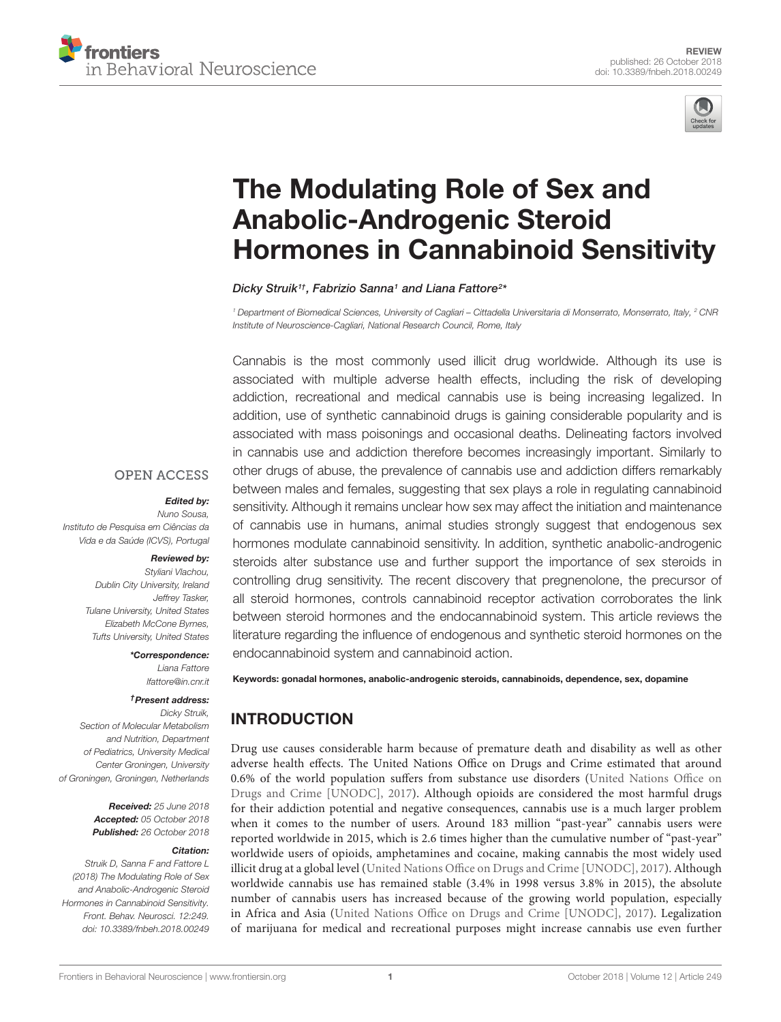



# The Modulating Role of Sex and Anabolic-Androgenic Steroid [Hormones in Cannabinoid Sensitivity](https://www.frontiersin.org/articles/10.3389/fnbeh.2018.00249/full)

[Dicky Struik](http://loop.frontiersin.org/people/276863/overview)1†, [Fabrizio Sanna](http://loop.frontiersin.org/people/392064/overview)1 and [Liana Fattore](http://loop.frontiersin.org/people/8604/overview)<sup>2\*</sup>

<sup>1</sup> Department of Biomedical Sciences, University of Cagliari – Cittadella Universitaria di Monserrato, Monserrato, Italy, <sup>2</sup> CNR Institute of Neuroscience-Cagliari, National Research Council, Rome, Italy

Cannabis is the most commonly used illicit drug worldwide. Although its use is associated with multiple adverse health effects, including the risk of developing addiction, recreational and medical cannabis use is being increasing legalized. In addition, use of synthetic cannabinoid drugs is gaining considerable popularity and is associated with mass poisonings and occasional deaths. Delineating factors involved in cannabis use and addiction therefore becomes increasingly important. Similarly to other drugs of abuse, the prevalence of cannabis use and addiction differs remarkably between males and females, suggesting that sex plays a role in regulating cannabinoid sensitivity. Although it remains unclear how sex may affect the initiation and maintenance of cannabis use in humans, animal studies strongly suggest that endogenous sex hormones modulate cannabinoid sensitivity. In addition, synthetic anabolic-androgenic steroids alter substance use and further support the importance of sex steroids in controlling drug sensitivity. The recent discovery that pregnenolone, the precursor of all steroid hormones, controls cannabinoid receptor activation corroborates the link between steroid hormones and the endocannabinoid system. This article reviews the literature regarding the influence of endogenous and synthetic steroid hormones on the endocannabinoid system and cannabinoid action.

**OPEN ACCESS** 

#### Edited by:

Nuno Sousa, Instituto de Pesquisa em Ciências da Vida e da Saúde (ICVS), Portugal

#### Reviewed by:

Styliani Vlachou, Dublin City University, Ireland Jeffrey Tasker, Tulane University, United States Elizabeth McCone Byrnes, Tufts University, United States

> \*Correspondence: Liana Fattore lfattore@in.cnr.it

#### †Present address:

Dicky Struik, Section of Molecular Metabolism and Nutrition, Department of Pediatrics, University Medical Center Groningen, University of Groningen, Groningen, Netherlands

> Received: 25 June 2018 Accepted: 05 October 2018 Published: 26 October 2018

#### Citation:

Struik D, Sanna F and Fattore L (2018) The Modulating Role of Sex and Anabolic-Androgenic Steroid Hormones in Cannabinoid Sensitivity. Front. Behav. Neurosci. 12:249. doi: [10.3389/fnbeh.2018.00249](https://doi.org/10.3389/fnbeh.2018.00249) Keywords: gonadal hormones, anabolic-androgenic steroids, cannabinoids, dependence, sex, dopamine

## INTRODUCTION

Drug use causes considerable harm because of premature death and disability as well as other adverse health effects. The United Nations Office on Drugs and Crime estimated that around 0.6% of the world population suffers from substance use disorders [\(United Nations Office on](#page-12-0) [Drugs and Crime \[UNODC\],](#page-12-0) [2017\)](#page-12-0). Although opioids are considered the most harmful drugs for their addiction potential and negative consequences, cannabis use is a much larger problem when it comes to the number of users. Around 183 million "past-year" cannabis users were reported worldwide in 2015, which is 2.6 times higher than the cumulative number of "past-year" worldwide users of opioids, amphetamines and cocaine, making cannabis the most widely used illicit drug at a global level [\(United Nations Office on Drugs and Crime \[UNODC\],](#page-12-0) [2017\)](#page-12-0). Although worldwide cannabis use has remained stable (3.4% in 1998 versus 3.8% in 2015), the absolute number of cannabis users has increased because of the growing world population, especially in Africa and Asia [\(United Nations Office on Drugs and Crime \[UNODC\],](#page-12-0) [2017\)](#page-12-0). Legalization of marijuana for medical and recreational purposes might increase cannabis use even further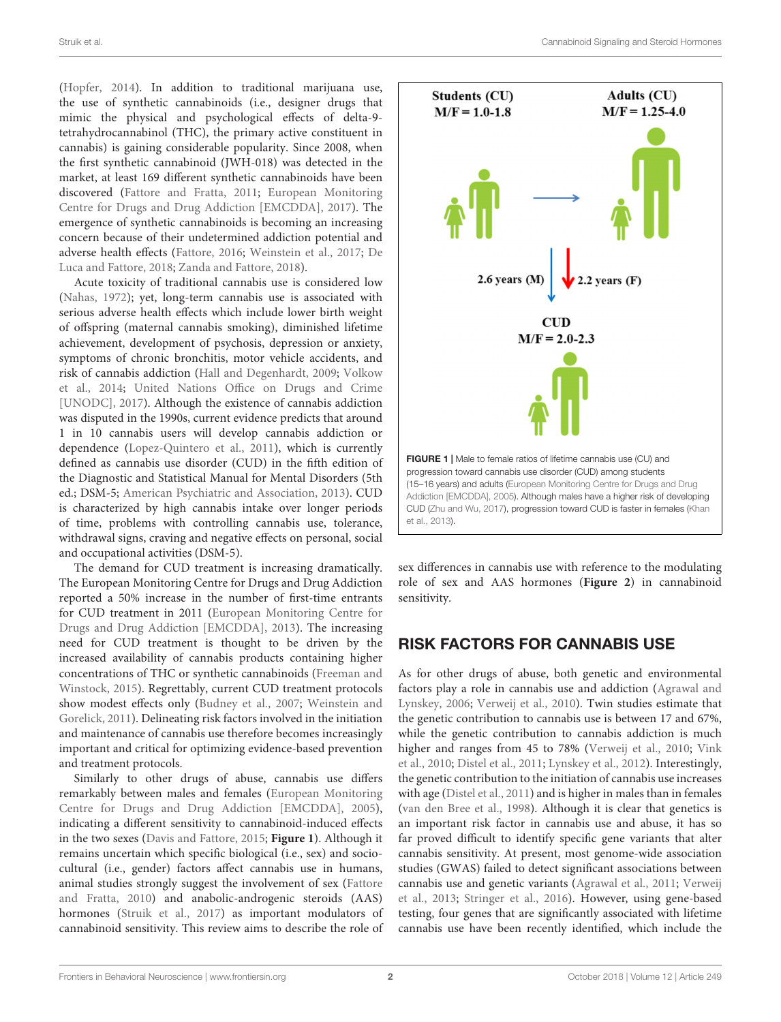Struik et al. Cannabinoid Signaling and Steroid Hormones

[\(Hopfer,](#page-10-0) [2014\)](#page-10-0). In addition to traditional marijuana use, the use of synthetic cannabinoids (i.e., designer drugs that mimic the physical and psychological effects of delta-9 tetrahydrocannabinol (THC), the primary active constituent in cannabis) is gaining considerable popularity. Since 2008, when the first synthetic cannabinoid (JWH-018) was detected in the market, at least 169 different synthetic cannabinoids have been discovered [\(Fattore and Fratta,](#page-9-0) [2011;](#page-9-0) [European Monitoring](#page-9-1) [Centre for Drugs and Drug Addiction \[EMCDDA\],](#page-9-1) [2017\)](#page-9-1). The emergence of synthetic cannabinoids is becoming an increasing concern because of their undetermined addiction potential and adverse health effects [\(Fattore,](#page-9-2) [2016;](#page-9-2) [Weinstein et al.,](#page-13-0) [2017;](#page-13-0) [De](#page-9-3) [Luca and Fattore,](#page-9-3) [2018;](#page-9-3) [Zanda and Fattore,](#page-13-1) [2018\)](#page-13-1).

Acute toxicity of traditional cannabis use is considered low [\(Nahas,](#page-11-0) [1972\)](#page-11-0); yet, long-term cannabis use is associated with serious adverse health effects which include lower birth weight of offspring (maternal cannabis smoking), diminished lifetime achievement, development of psychosis, depression or anxiety, symptoms of chronic bronchitis, motor vehicle accidents, and risk of cannabis addiction [\(Hall and Degenhardt,](#page-10-1) [2009;](#page-10-1) [Volkow](#page-13-2) [et al.,](#page-13-2) [2014;](#page-13-2) [United Nations Office on Drugs and Crime](#page-12-0) [\[UNODC\],](#page-12-0) [2017\)](#page-12-0). Although the existence of cannabis addiction was disputed in the 1990s, current evidence predicts that around 1 in 10 cannabis users will develop cannabis addiction or dependence [\(Lopez-Quintero et al.,](#page-10-2) [2011\)](#page-10-2), which is currently defined as cannabis use disorder (CUD) in the fifth edition of the Diagnostic and Statistical Manual for Mental Disorders (5th ed.; DSM-5; [American Psychiatric and Association,](#page-7-0) [2013\)](#page-7-0). CUD is characterized by high cannabis intake over longer periods of time, problems with controlling cannabis use, tolerance, withdrawal signs, craving and negative effects on personal, social and occupational activities (DSM-5).

The demand for CUD treatment is increasing dramatically. The European Monitoring Centre for Drugs and Drug Addiction reported a 50% increase in the number of first-time entrants for CUD treatment in 2011 [\(European Monitoring Centre for](#page-9-4) [Drugs and Drug Addiction \[EMCDDA\],](#page-9-4) [2013\)](#page-9-4). The increasing need for CUD treatment is thought to be driven by the increased availability of cannabis products containing higher concentrations of THC or synthetic cannabinoids [\(Freeman and](#page-9-5) [Winstock,](#page-9-5) [2015\)](#page-9-5). Regrettably, current CUD treatment protocols show modest effects only [\(Budney et al.,](#page-8-0) [2007;](#page-8-0) [Weinstein and](#page-13-3) [Gorelick,](#page-13-3) [2011\)](#page-13-3). Delineating risk factors involved in the initiation and maintenance of cannabis use therefore becomes increasingly important and critical for optimizing evidence-based prevention and treatment protocols.

Similarly to other drugs of abuse, cannabis use differs remarkably between males and females [\(European Monitoring](#page-9-6) [Centre for Drugs and Drug Addiction \[EMCDDA\],](#page-9-6) [2005\)](#page-9-6), indicating a different sensitivity to cannabinoid-induced effects in the two sexes [\(Davis and Fattore,](#page-9-7) [2015;](#page-9-7) **[Figure 1](#page-1-0)**). Although it remains uncertain which specific biological (i.e., sex) and sociocultural (i.e., gender) factors affect cannabis use in humans, animal studies strongly suggest the involvement of sex [\(Fattore](#page-9-8) [and Fratta,](#page-9-8) [2010\)](#page-9-8) and anabolic-androgenic steroids (AAS) hormones [\(Struik et al.,](#page-12-1) [2017\)](#page-12-1) as important modulators of cannabinoid sensitivity. This review aims to describe the role of



<span id="page-1-0"></span>sex differences in cannabis use with reference to the modulating role of sex and AAS hormones (**[Figure 2](#page-2-0)**) in cannabinoid sensitivity.

## RISK FACTORS FOR CANNABIS USE

As for other drugs of abuse, both genetic and environmental factors play a role in cannabis use and addiction [\(Agrawal and](#page-7-1) [Lynskey,](#page-7-1) [2006;](#page-7-1) [Verweij et al.,](#page-13-5) [2010\)](#page-13-5). Twin studies estimate that the genetic contribution to cannabis use is between 17 and 67%, while the genetic contribution to cannabis addiction is much higher and ranges from 45 to 78% [\(Verweij et al.,](#page-13-5) [2010;](#page-13-5) [Vink](#page-13-6) [et al.,](#page-13-6) [2010;](#page-13-6) [Distel et al.,](#page-9-9) [2011;](#page-9-9) [Lynskey et al.,](#page-11-1) [2012\)](#page-11-1). Interestingly, the genetic contribution to the initiation of cannabis use increases with age [\(Distel et al.,](#page-9-9) [2011\)](#page-9-9) and is higher in males than in females [\(van den Bree et al.,](#page-12-2) [1998\)](#page-12-2). Although it is clear that genetics is an important risk factor in cannabis use and abuse, it has so far proved difficult to identify specific gene variants that alter cannabis sensitivity. At present, most genome-wide association studies (GWAS) failed to detect significant associations between cannabis use and genetic variants [\(Agrawal et al.,](#page-7-2) [2011;](#page-7-2) [Verweij](#page-13-7) [et al.,](#page-13-7) [2013;](#page-13-7) [Stringer et al.,](#page-12-3) [2016\)](#page-12-3). However, using gene-based testing, four genes that are significantly associated with lifetime cannabis use have been recently identified, which include the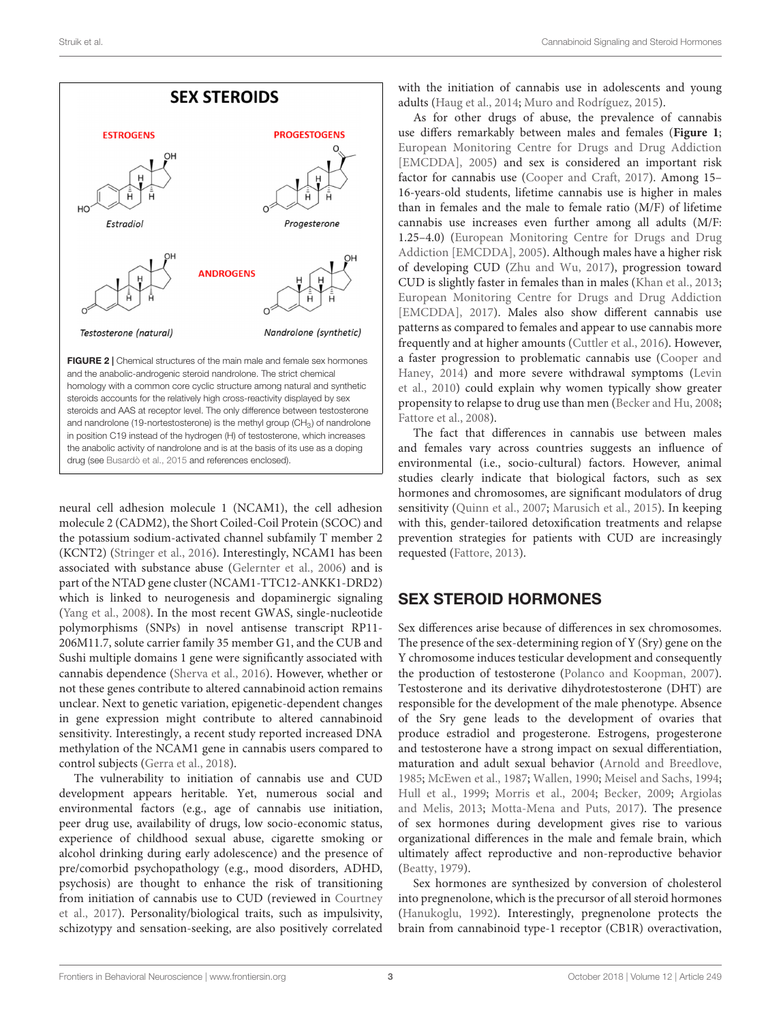

<span id="page-2-0"></span>neural cell adhesion molecule 1 (NCAM1), the cell adhesion molecule 2 (CADM2), the Short Coiled-Coil Protein (SCOC) and the potassium sodium-activated channel subfamily T member 2 (KCNT2) [\(Stringer et al.,](#page-12-3) [2016\)](#page-12-3). Interestingly, NCAM1 has been associated with substance abuse [\(Gelernter et al.,](#page-9-10) [2006\)](#page-9-10) and is part of the NTAD gene cluster (NCAM1-TTC12-ANKK1-DRD2) which is linked to neurogenesis and dopaminergic signaling [\(Yang et al.,](#page-13-8) [2008\)](#page-13-8). In the most recent GWAS, single-nucleotide polymorphisms (SNPs) in novel antisense transcript RP11- 206M11.7, solute carrier family 35 member G1, and the CUB and Sushi multiple domains 1 gene were significantly associated with cannabis dependence [\(Sherva et al.,](#page-12-4) [2016\)](#page-12-4). However, whether or not these genes contribute to altered cannabinoid action remains unclear. Next to genetic variation, epigenetic-dependent changes in gene expression might contribute to altered cannabinoid sensitivity. Interestingly, a recent study reported increased DNA methylation of the NCAM1 gene in cannabis users compared to control subjects [\(Gerra et al.,](#page-9-11) [2018\)](#page-9-11).

The vulnerability to initiation of cannabis use and CUD development appears heritable. Yet, numerous social and environmental factors (e.g., age of cannabis use initiation, peer drug use, availability of drugs, low socio-economic status, experience of childhood sexual abuse, cigarette smoking or alcohol drinking during early adolescence) and the presence of pre/comorbid psychopathology (e.g., mood disorders, ADHD, psychosis) are thought to enhance the risk of transitioning from initiation of cannabis use to CUD (reviewed in [Courtney](#page-8-2) [et al.,](#page-8-2) [2017\)](#page-8-2). Personality/biological traits, such as impulsivity, schizotypy and sensation-seeking, are also positively correlated

with the initiation of cannabis use in adolescents and young adults [\(Haug et al.,](#page-10-4) [2014;](#page-10-4) [Muro and Rodríguez,](#page-11-2) [2015\)](#page-11-2).

As for other drugs of abuse, the prevalence of cannabis use differs remarkably between males and females (**[Figure 1](#page-1-0)**; [European Monitoring Centre for Drugs and Drug Addiction](#page-9-6) [\[EMCDDA\],](#page-9-6) [2005\)](#page-9-6) and sex is considered an important risk factor for cannabis use [\(Cooper and Craft,](#page-8-3) [2017\)](#page-8-3). Among 15– 16-years-old students, lifetime cannabis use is higher in males than in females and the male to female ratio (M/F) of lifetime cannabis use increases even further among all adults (M/F: 1.25–4.0) [\(European Monitoring Centre for Drugs and Drug](#page-9-6) [Addiction \[EMCDDA\],](#page-9-6) [2005\)](#page-9-6). Although males have a higher risk of developing CUD [\(Zhu and Wu,](#page-13-4) [2017\)](#page-13-4), progression toward CUD is slightly faster in females than in males [\(Khan et al.,](#page-10-3) [2013;](#page-10-3) [European Monitoring Centre for Drugs and Drug Addiction](#page-9-1) [\[EMCDDA\],](#page-9-1) [2017\)](#page-9-1). Males also show different cannabis use patterns as compared to females and appear to use cannabis more frequently and at higher amounts [\(Cuttler et al.,](#page-9-12) [2016\)](#page-9-12). However, a faster progression to problematic cannabis use [\(Cooper and](#page-8-4) [Haney,](#page-8-4) [2014\)](#page-8-4) and more severe withdrawal symptoms [\(Levin](#page-10-5) [et al.,](#page-10-5) [2010\)](#page-10-5) could explain why women typically show greater propensity to relapse to drug use than men [\(Becker and Hu,](#page-8-5) [2008;](#page-8-5) [Fattore et al.,](#page-9-13) [2008\)](#page-9-13).

The fact that differences in cannabis use between males and females vary across countries suggests an influence of environmental (i.e., socio-cultural) factors. However, animal studies clearly indicate that biological factors, such as sex hormones and chromosomes, are significant modulators of drug sensitivity [\(Quinn et al.,](#page-12-5) [2007;](#page-12-5) [Marusich et al.,](#page-11-3) [2015\)](#page-11-3). In keeping with this, gender-tailored detoxification treatments and relapse prevention strategies for patients with CUD are increasingly requested [\(Fattore,](#page-9-14) [2013\)](#page-9-14).

#### SEX STEROID HORMONES

Sex differences arise because of differences in sex chromosomes. The presence of the sex-determining region of Y (Sry) gene on the Y chromosome induces testicular development and consequently the production of testosterone [\(Polanco and Koopman,](#page-12-6) [2007\)](#page-12-6). Testosterone and its derivative dihydrotestosterone (DHT) are responsible for the development of the male phenotype. Absence of the Sry gene leads to the development of ovaries that produce estradiol and progesterone. Estrogens, progesterone and testosterone have a strong impact on sexual differentiation, maturation and adult sexual behavior [\(Arnold and Breedlove,](#page-8-6) [1985;](#page-8-6) [McEwen et al.,](#page-11-4) [1987;](#page-11-4) [Wallen,](#page-13-9) [1990;](#page-13-9) [Meisel and Sachs,](#page-11-5) [1994;](#page-11-5) [Hull et al.,](#page-10-6) [1999;](#page-10-6) [Morris et al.,](#page-11-6) [2004;](#page-11-6) [Becker,](#page-8-7) [2009;](#page-8-7) [Argiolas](#page-7-3) [and Melis,](#page-7-3) [2013;](#page-7-3) [Motta-Mena and Puts,](#page-11-7) [2017\)](#page-11-7). The presence of sex hormones during development gives rise to various organizational differences in the male and female brain, which ultimately affect reproductive and non-reproductive behavior [\(Beatty,](#page-8-8) [1979\)](#page-8-8).

Sex hormones are synthesized by conversion of cholesterol into pregnenolone, which is the precursor of all steroid hormones [\(Hanukoglu,](#page-10-7) [1992\)](#page-10-7). Interestingly, pregnenolone protects the brain from cannabinoid type-1 receptor (CB1R) overactivation,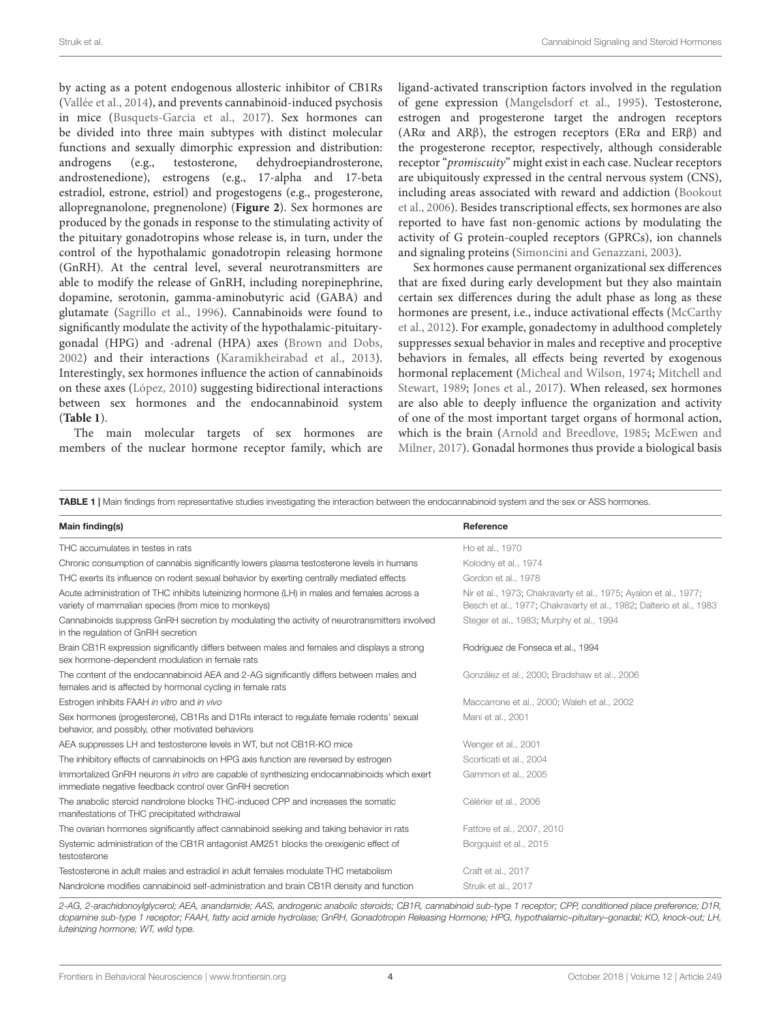by acting as a potent endogenous allosteric inhibitor of CB1Rs [\(Vallée et al.,](#page-12-7) [2014\)](#page-12-7), and prevents cannabinoid-induced psychosis in mice [\(Busquets-Garcia et al.,](#page-8-9) [2017\)](#page-8-9). Sex hormones can be divided into three main subtypes with distinct molecular functions and sexually dimorphic expression and distribution: androgens (e.g., testosterone, dehydroepiandrosterone, androstenedione), estrogens (e.g., 17-alpha and 17-beta estradiol, estrone, estriol) and progestogens (e.g., progesterone, allopregnanolone, pregnenolone) (**[Figure 2](#page-2-0)**). Sex hormones are produced by the gonads in response to the stimulating activity of the pituitary gonadotropins whose release is, in turn, under the control of the hypothalamic gonadotropin releasing hormone (GnRH). At the central level, several neurotransmitters are able to modify the release of GnRH, including norepinephrine, dopamine, serotonin, gamma-aminobutyric acid (GABA) and glutamate [\(Sagrillo et al.,](#page-12-8) [1996\)](#page-12-8). Cannabinoids were found to significantly modulate the activity of the hypothalamic-pituitarygonadal (HPG) and -adrenal (HPA) axes [\(Brown and Dobs,](#page-8-10) [2002\)](#page-8-10) and their interactions [\(Karamikheirabad et al.,](#page-10-8) [2013\)](#page-10-8). Interestingly, sex hormones influence the action of cannabinoids on these axes [\(López,](#page-10-9) [2010\)](#page-10-9) suggesting bidirectional interactions between sex hormones and the endocannabinoid system (**[Table 1](#page-3-0)**).

The main molecular targets of sex hormones are members of the nuclear hormone receptor family, which are ligand-activated transcription factors involved in the regulation of gene expression [\(Mangelsdorf et al.,](#page-11-8) [1995\)](#page-11-8). Testosterone, estrogen and progesterone target the androgen receptors (ARα and ARβ), the estrogen receptors (ERα and ERβ) and the progesterone receptor, respectively, although considerable receptor "promiscuity" might exist in each case. Nuclear receptors are ubiquitously expressed in the central nervous system (CNS), including areas associated with reward and addiction [\(Bookout](#page-8-11) [et al.,](#page-8-11) [2006\)](#page-8-11). Besides transcriptional effects, sex hormones are also reported to have fast non-genomic actions by modulating the activity of G protein-coupled receptors (GPRCs), ion channels and signaling proteins [\(Simoncini and Genazzani,](#page-12-9) [2003\)](#page-12-9).

Sex hormones cause permanent organizational sex differences that are fixed during early development but they also maintain certain sex differences during the adult phase as long as these hormones are present, i.e., induce activational effects [\(McCarthy](#page-11-9) [et al.,](#page-11-9) [2012\)](#page-11-9). For example, gonadectomy in adulthood completely suppresses sexual behavior in males and receptive and proceptive behaviors in females, all effects being reverted by exogenous hormonal replacement [\(Micheal and Wilson,](#page-11-10) [1974;](#page-11-10) [Mitchell and](#page-11-11) [Stewart,](#page-11-11) [1989;](#page-11-11) [Jones et al.,](#page-10-10) [2017\)](#page-10-10). When released, sex hormones are also able to deeply influence the organization and activity of one of the most important target organs of hormonal action, which is the brain [\(Arnold and Breedlove,](#page-8-6) [1985;](#page-8-6) [McEwen and](#page-11-12) [Milner,](#page-11-12) [2017\)](#page-11-12). Gonadal hormones thus provide a biological basis

<span id="page-3-0"></span>TABLE 1 | Main findings from representative studies investigating the interaction between the endocannabinoid system and the sex or ASS hormones.

| Main finding(s)                                                                                                                                        | Reference                                                                                                                               |
|--------------------------------------------------------------------------------------------------------------------------------------------------------|-----------------------------------------------------------------------------------------------------------------------------------------|
| THC accumulates in testes in rats                                                                                                                      | Ho et al., 1970                                                                                                                         |
| Chronic consumption of cannabis significantly lowers plasma testosterone levels in humans                                                              | Kolodny et al., 1974                                                                                                                    |
| THC exerts its influence on rodent sexual behavior by exerting centrally mediated effects                                                              | Gordon et al., 1978                                                                                                                     |
| Acute administration of THC inhibits luteinizing hormone (LH) in males and females across a<br>variety of mammalian species (from mice to monkeys)     | Nir et al., 1973; Chakravarty et al., 1975; Ayalon et al., 1977;<br>Besch et al., 1977; Chakravarty et al., 1982; Dalterio et al., 1983 |
| Cannabinoids suppress GnRH secretion by modulating the activity of neurotransmitters involved<br>in the regulation of GnRH secretion                   | Steger et al., 1983; Murphy et al., 1994                                                                                                |
| Brain CB1R expression significantly differs between males and females and displays a strong<br>sex hormone-dependent modulation in female rats         | Rodríguez de Fonseca et al., 1994                                                                                                       |
| The content of the endocannabinoid AEA and 2-AG significantly differs between males and<br>females and is affected by hormonal cycling in female rats  | González et al., 2000; Bradshaw et al., 2006                                                                                            |
| Estrogen inhibits FAAH in vitro and in vivo                                                                                                            | Maccarrone et al., 2000; Waleh et al., 2002                                                                                             |
| Sex hormones (progesterone), CB1Rs and D1Rs interact to regulate female rodents' sexual<br>behavior, and possibly, other motivated behaviors           | Mani et al., 2001                                                                                                                       |
| AEA suppresses LH and testosterone levels in WT, but not CB1R-KO mice                                                                                  | Wenger et al., 2001                                                                                                                     |
| The inhibitory effects of cannabinoids on HPG axis function are reversed by estrogen                                                                   | Scorticati et al., 2004                                                                                                                 |
| Immortalized GnRH neurons in vitro are capable of synthesizing endocannabinoids which exert<br>immediate negative feedback control over GnRH secretion | Gammon et al., 2005                                                                                                                     |
| The anabolic steroid nandrolone blocks THC-induced CPP and increases the somatic<br>manifestations of THC precipitated withdrawal                      | Célérier et al., 2006                                                                                                                   |
| The ovarian hormones significantly affect cannabinoid seeking and taking behavior in rats                                                              | Fattore et al., 2007, 2010                                                                                                              |
| Systemic administration of the CB1R antagonist AM251 blocks the orexigenic effect of<br>testosterone                                                   | Borgguist et al., 2015                                                                                                                  |
| Testosterone in adult males and estradiol in adult females modulate THC metabolism                                                                     | Craft et al., 2017                                                                                                                      |
| Nandrolone modifies cannabinoid self-administration and brain CB1R density and function                                                                | Struik et al., 2017                                                                                                                     |

2-AG, 2-arachidonoylglycerol; AEA, anandamide; AAS, androgenic anabolic steroids; CB1R, cannabinoid sub-type 1 receptor; CPP, conditioned place preference; D1R, dopamine sub-type 1 receptor; FAAH, fatty acid amide hydrolase; GnRH, Gonadotropin Releasing Hormone; HPG, hypothalamic–pituitary–gonadal; KO, knock-out; LH, luteinizing hormone; WT, wild type.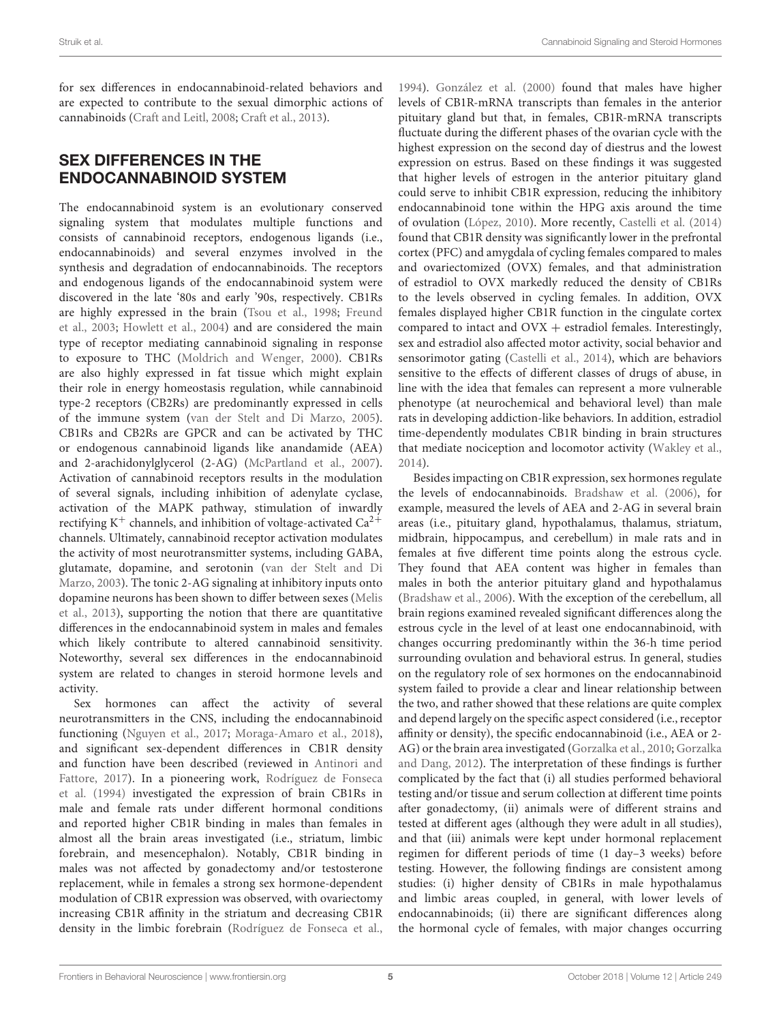for sex differences in endocannabinoid-related behaviors and are expected to contribute to the sexual dimorphic actions of cannabinoids [\(Craft and Leitl,](#page-8-20) [2008;](#page-8-20) [Craft et al.,](#page-9-21) [2013\)](#page-9-21).

#### SEX DIFFERENCES IN THE ENDOCANNABINOID SYSTEM

The endocannabinoid system is an evolutionary conserved signaling system that modulates multiple functions and consists of cannabinoid receptors, endogenous ligands (i.e., endocannabinoids) and several enzymes involved in the synthesis and degradation of endocannabinoids. The receptors and endogenous ligands of the endocannabinoid system were discovered in the late '80s and early '90s, respectively. CB1Rs are highly expressed in the brain [\(Tsou et al.,](#page-12-12) [1998;](#page-12-12) [Freund](#page-9-22) [et al.,](#page-9-22) [2003;](#page-9-22) [Howlett et al.,](#page-10-13) [2004\)](#page-10-13) and are considered the main type of receptor mediating cannabinoid signaling in response to exposure to THC [\(Moldrich and Wenger,](#page-11-17) [2000\)](#page-11-17). CB1Rs are also highly expressed in fat tissue which might explain their role in energy homeostasis regulation, while cannabinoid type-2 receptors (CB2Rs) are predominantly expressed in cells of the immune system [\(van der Stelt and Di Marzo,](#page-13-12) [2005\)](#page-13-12). CB1Rs and CB2Rs are GPCR and can be activated by THC or endogenous cannabinoid ligands like anandamide (AEA) and 2-arachidonylglycerol (2-AG) [\(McPartland et al.,](#page-11-18) [2007\)](#page-11-18). Activation of cannabinoid receptors results in the modulation of several signals, including inhibition of adenylate cyclase, activation of the MAPK pathway, stimulation of inwardly rectifying  $K^+$  channels, and inhibition of voltage-activated  $Ca^{2+}$ channels. Ultimately, cannabinoid receptor activation modulates the activity of most neurotransmitter systems, including GABA, glutamate, dopamine, and serotonin [\(van der Stelt and Di](#page-13-13) [Marzo,](#page-13-13) [2003\)](#page-13-13). The tonic 2-AG signaling at inhibitory inputs onto dopamine neurons has been shown to differ between sexes [\(Melis](#page-11-19) [et al.,](#page-11-19) [2013\)](#page-11-19), supporting the notion that there are quantitative differences in the endocannabinoid system in males and females which likely contribute to altered cannabinoid sensitivity. Noteworthy, several sex differences in the endocannabinoid system are related to changes in steroid hormone levels and activity.

Sex hormones can affect the activity of several neurotransmitters in the CNS, including the endocannabinoid functioning [\(Nguyen et al.,](#page-11-20) [2017;](#page-11-20) [Moraga-Amaro et al.,](#page-11-21) [2018\)](#page-11-21), and significant sex-dependent differences in CB1R density and function have been described (reviewed in [Antinori and](#page-7-4) [Fattore,](#page-7-4) [2017\)](#page-7-4). In a pioneering work, [Rodríguez de Fonseca](#page-12-13) [et al.](#page-12-13) [\(1994\)](#page-12-13) investigated the expression of brain CB1Rs in male and female rats under different hormonal conditions and reported higher CB1R binding in males than females in almost all the brain areas investigated (i.e., striatum, limbic forebrain, and mesencephalon). Notably, CB1R binding in males was not affected by gonadectomy and/or testosterone replacement, while in females a strong sex hormone-dependent modulation of CB1R expression was observed, with ovariectomy increasing CB1R affinity in the striatum and decreasing CB1R density in the limbic forebrain [\(Rodríguez de Fonseca et al.,](#page-12-13)

[1994\)](#page-12-13). [González et al.](#page-9-17) [\(2000\)](#page-9-17) found that males have higher levels of CB1R-mRNA transcripts than females in the anterior pituitary gland but that, in females, CB1R-mRNA transcripts fluctuate during the different phases of the ovarian cycle with the highest expression on the second day of diestrus and the lowest expression on estrus. Based on these findings it was suggested that higher levels of estrogen in the anterior pituitary gland could serve to inhibit CB1R expression, reducing the inhibitory endocannabinoid tone within the HPG axis around the time of ovulation [\(López,](#page-10-9) [2010\)](#page-10-9). More recently, [Castelli et al.](#page-8-21) [\(2014\)](#page-8-21) found that CB1R density was significantly lower in the prefrontal cortex (PFC) and amygdala of cycling females compared to males and ovariectomized (OVX) females, and that administration of estradiol to OVX markedly reduced the density of CB1Rs to the levels observed in cycling females. In addition, OVX females displayed higher CB1R function in the cingulate cortex compared to intact and  $OVX$  + estradiol females. Interestingly, sex and estradiol also affected motor activity, social behavior and sensorimotor gating [\(Castelli et al.,](#page-8-21) [2014\)](#page-8-21), which are behaviors sensitive to the effects of different classes of drugs of abuse, in line with the idea that females can represent a more vulnerable phenotype (at neurochemical and behavioral level) than male rats in developing addiction-like behaviors. In addition, estradiol time-dependently modulates CB1R binding in brain structures that mediate nociception and locomotor activity [\(Wakley et al.,](#page-13-14) [2014\)](#page-13-14).

Besides impacting on CB1R expression, sex hormones regulate the levels of endocannabinoids. [Bradshaw et al.](#page-8-16) [\(2006\)](#page-8-16), for example, measured the levels of AEA and 2-AG in several brain areas (i.e., pituitary gland, hypothalamus, thalamus, striatum, midbrain, hippocampus, and cerebellum) in male rats and in females at five different time points along the estrous cycle. They found that AEA content was higher in females than males in both the anterior pituitary gland and hypothalamus [\(Bradshaw et al.,](#page-8-16) [2006\)](#page-8-16). With the exception of the cerebellum, all brain regions examined revealed significant differences along the estrous cycle in the level of at least one endocannabinoid, with changes occurring predominantly within the 36-h time period surrounding ovulation and behavioral estrus. In general, studies on the regulatory role of sex hormones on the endocannabinoid system failed to provide a clear and linear relationship between the two, and rather showed that these relations are quite complex and depend largely on the specific aspect considered (i.e., receptor affinity or density), the specific endocannabinoid (i.e., AEA or 2- AG) or the brain area investigated [\(Gorzalka et al.,](#page-10-14) [2010;](#page-10-14) [Gorzalka](#page-10-15) [and Dang,](#page-10-15) [2012\)](#page-10-15). The interpretation of these findings is further complicated by the fact that (i) all studies performed behavioral testing and/or tissue and serum collection at different time points after gonadectomy, (ii) animals were of different strains and tested at different ages (although they were adult in all studies), and that (iii) animals were kept under hormonal replacement regimen for different periods of time (1 day–3 weeks) before testing. However, the following findings are consistent among studies: (i) higher density of CB1Rs in male hypothalamus and limbic areas coupled, in general, with lower levels of endocannabinoids; (ii) there are significant differences along the hormonal cycle of females, with major changes occurring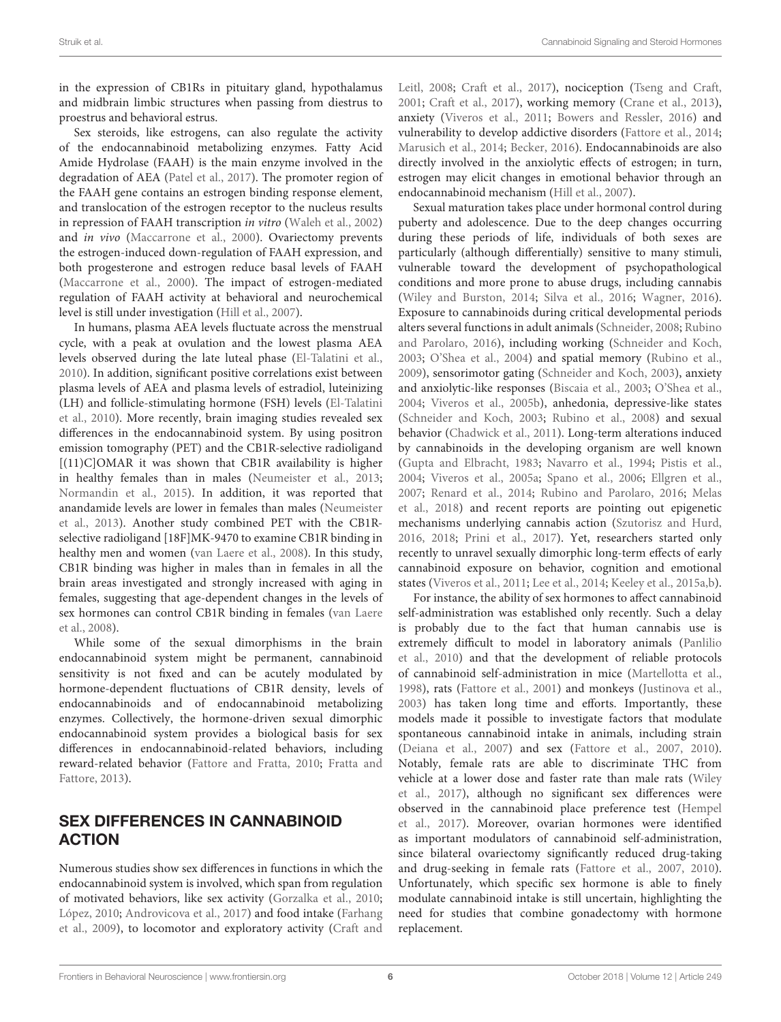in the expression of CB1Rs in pituitary gland, hypothalamus and midbrain limbic structures when passing from diestrus to proestrus and behavioral estrus.

Sex steroids, like estrogens, can also regulate the activity of the endocannabinoid metabolizing enzymes. Fatty Acid Amide Hydrolase (FAAH) is the main enzyme involved in the degradation of AEA [\(Patel et al.,](#page-12-14) [2017\)](#page-12-14). The promoter region of the FAAH gene contains an estrogen binding response element, and translocation of the estrogen receptor to the nucleus results in repression of FAAH transcription in vitro [\(Waleh et al.,](#page-13-10) [2002\)](#page-13-10) and in vivo [\(Maccarrone et al.,](#page-11-15) [2000\)](#page-11-15). Ovariectomy prevents the estrogen-induced down-regulation of FAAH expression, and both progesterone and estrogen reduce basal levels of FAAH [\(Maccarrone et al.,](#page-11-15) [2000\)](#page-11-15). The impact of estrogen-mediated regulation of FAAH activity at behavioral and neurochemical level is still under investigation [\(Hill et al.,](#page-10-16) [2007\)](#page-10-16).

In humans, plasma AEA levels fluctuate across the menstrual cycle, with a peak at ovulation and the lowest plasma AEA levels observed during the late luteal phase [\(El-Talatini et al.,](#page-9-23) [2010\)](#page-9-23). In addition, significant positive correlations exist between plasma levels of AEA and plasma levels of estradiol, luteinizing (LH) and follicle-stimulating hormone (FSH) levels [\(El-Talatini](#page-9-23) [et al.,](#page-9-23) [2010\)](#page-9-23). More recently, brain imaging studies revealed sex differences in the endocannabinoid system. By using positron emission tomography (PET) and the CB1R-selective radioligand [(11)C]OMAR it was shown that CB1R availability is higher in healthy females than in males [\(Neumeister et al.,](#page-11-22) [2013;](#page-11-22) [Normandin et al.,](#page-11-23) [2015\)](#page-11-23). In addition, it was reported that anandamide levels are lower in females than males [\(Neumeister](#page-11-22) [et al.,](#page-11-22) [2013\)](#page-11-22). Another study combined PET with the CB1Rselective radioligand [18F]MK-9470 to examine CB1R binding in healthy men and women [\(van Laere et al.,](#page-13-15) [2008\)](#page-13-15). In this study, CB1R binding was higher in males than in females in all the brain areas investigated and strongly increased with aging in females, suggesting that age-dependent changes in the levels of sex hormones can control CB1R binding in females [\(van Laere](#page-13-15) [et al.,](#page-13-15) [2008\)](#page-13-15).

While some of the sexual dimorphisms in the brain endocannabinoid system might be permanent, cannabinoid sensitivity is not fixed and can be acutely modulated by hormone-dependent fluctuations of CB1R density, levels of endocannabinoids and of endocannabinoid metabolizing enzymes. Collectively, the hormone-driven sexual dimorphic endocannabinoid system provides a biological basis for sex differences in endocannabinoid-related behaviors, including reward-related behavior [\(Fattore and Fratta,](#page-9-8) [2010;](#page-9-8) [Fratta and](#page-9-24) [Fattore,](#page-9-24) [2013\)](#page-9-24).

#### SEX DIFFERENCES IN CANNABINOID ACTION

Numerous studies show sex differences in functions in which the endocannabinoid system is involved, which span from regulation of motivated behaviors, like sex activity [\(Gorzalka et al.,](#page-10-14) [2010;](#page-10-14) [López,](#page-10-9) [2010;](#page-10-9) [Androvicova et al.,](#page-7-5) [2017\)](#page-7-5) and food intake [\(Farhang](#page-9-25) [et al.,](#page-9-25) [2009\)](#page-9-25), to locomotor and exploratory activity [\(Craft and](#page-8-20)

[Leitl,](#page-8-20) [2008;](#page-8-20) [Craft et al.,](#page-8-19) [2017\)](#page-8-19), nociception [\(Tseng and Craft,](#page-12-15) [2001;](#page-12-15) [Craft et al.,](#page-8-19) [2017\)](#page-8-19), working memory [\(Crane et al.,](#page-9-26) [2013\)](#page-9-26), anxiety [\(Viveros et al.,](#page-13-16) [2011;](#page-13-16) [Bowers and Ressler,](#page-8-22) [2016\)](#page-8-22) and vulnerability to develop addictive disorders [\(Fattore et al.,](#page-9-27) [2014;](#page-9-27) [Marusich et al.,](#page-11-24) [2014;](#page-11-24) [Becker,](#page-8-23) [2016\)](#page-8-23). Endocannabinoids are also directly involved in the anxiolytic effects of estrogen; in turn, estrogen may elicit changes in emotional behavior through an endocannabinoid mechanism [\(Hill et al.,](#page-10-16) [2007\)](#page-10-16).

Sexual maturation takes place under hormonal control during puberty and adolescence. Due to the deep changes occurring during these periods of life, individuals of both sexes are particularly (although differentially) sensitive to many stimuli, vulnerable toward the development of psychopathological conditions and more prone to abuse drugs, including cannabis [\(Wiley and Burston,](#page-13-17) [2014;](#page-13-17) [Silva et al.,](#page-12-16) [2016;](#page-12-16) [Wagner,](#page-13-18) [2016\)](#page-13-18). Exposure to cannabinoids during critical developmental periods alters several functions in adult animals [\(Schneider,](#page-12-17) [2008;](#page-12-17) [Rubino](#page-12-18) [and Parolaro,](#page-12-18) [2016\)](#page-12-18), including working [\(Schneider and Koch,](#page-12-19) [2003;](#page-12-19) [O'Shea et al.,](#page-11-25) [2004\)](#page-11-25) and spatial memory [\(Rubino et al.,](#page-12-20) [2009\)](#page-12-20), sensorimotor gating [\(Schneider and Koch,](#page-12-19) [2003\)](#page-12-19), anxiety and anxiolytic-like responses [\(Biscaia et al.,](#page-8-24) [2003;](#page-8-24) [O'Shea et al.,](#page-11-25) [2004;](#page-11-25) [Viveros et al.,](#page-13-19) [2005b\)](#page-13-19), anhedonia, depressive-like states [\(Schneider and Koch,](#page-12-19) [2003;](#page-12-19) [Rubino et al.,](#page-12-21) [2008\)](#page-12-21) and sexual behavior [\(Chadwick et al.,](#page-8-25) [2011\)](#page-8-25). Long-term alterations induced by cannabinoids in the developing organism are well known [\(Gupta and Elbracht,](#page-10-17) [1983;](#page-10-17) [Navarro et al.,](#page-11-26) [1994;](#page-11-26) [Pistis et al.,](#page-12-22) [2004;](#page-12-22) [Viveros et al.,](#page-13-20) [2005a;](#page-13-20) [Spano et al.,](#page-12-23) [2006;](#page-12-23) [Ellgren et al.,](#page-9-28) [2007;](#page-9-28) [Renard et al.,](#page-12-24) [2014;](#page-12-24) [Rubino and Parolaro,](#page-12-18) [2016;](#page-12-18) [Melas](#page-11-27) [et al.,](#page-11-27) [2018\)](#page-11-27) and recent reports are pointing out epigenetic mechanisms underlying cannabis action [\(Szutorisz and Hurd,](#page-12-25) [2016,](#page-12-25) [2018;](#page-12-26) [Prini et al.,](#page-12-27) [2017\)](#page-12-27). Yet, researchers started only recently to unravel sexually dimorphic long-term effects of early cannabinoid exposure on behavior, cognition and emotional states [\(Viveros et al.,](#page-13-16) [2011;](#page-13-16) [Lee et al.,](#page-10-18) [2014;](#page-10-18) [Keeley et al.,](#page-10-19) [2015a](#page-10-19)[,b\)](#page-10-20).

For instance, the ability of sex hormones to affect cannabinoid self-administration was established only recently. Such a delay is probably due to the fact that human cannabis use is extremely difficult to model in laboratory animals [\(Panlilio](#page-11-28) [et al.,](#page-11-28) [2010\)](#page-11-28) and that the development of reliable protocols of cannabinoid self-administration in mice [\(Martellotta et al.,](#page-11-29) [1998\)](#page-11-29), rats [\(Fattore et al.,](#page-9-29) [2001\)](#page-9-29) and monkeys [\(Justinova et al.,](#page-10-21) [2003\)](#page-10-21) has taken long time and efforts. Importantly, these models made it possible to investigate factors that modulate spontaneous cannabinoid intake in animals, including strain [\(Deiana et al.,](#page-9-30) [2007\)](#page-9-30) and sex [\(Fattore et al.,](#page-9-19) [2007,](#page-9-19) [2010\)](#page-9-20). Notably, female rats are able to discriminate THC from vehicle at a lower dose and faster rate than male rats [\(Wiley](#page-13-21) [et al.,](#page-13-21) [2017\)](#page-13-21), although no significant sex differences were observed in the cannabinoid place preference test [\(Hempel](#page-10-22) [et al.,](#page-10-22) [2017\)](#page-10-22). Moreover, ovarian hormones were identified as important modulators of cannabinoid self-administration, since bilateral ovariectomy significantly reduced drug-taking and drug-seeking in female rats [\(Fattore et al.,](#page-9-19) [2007,](#page-9-19) [2010\)](#page-9-20). Unfortunately, which specific sex hormone is able to finely modulate cannabinoid intake is still uncertain, highlighting the need for studies that combine gonadectomy with hormone replacement.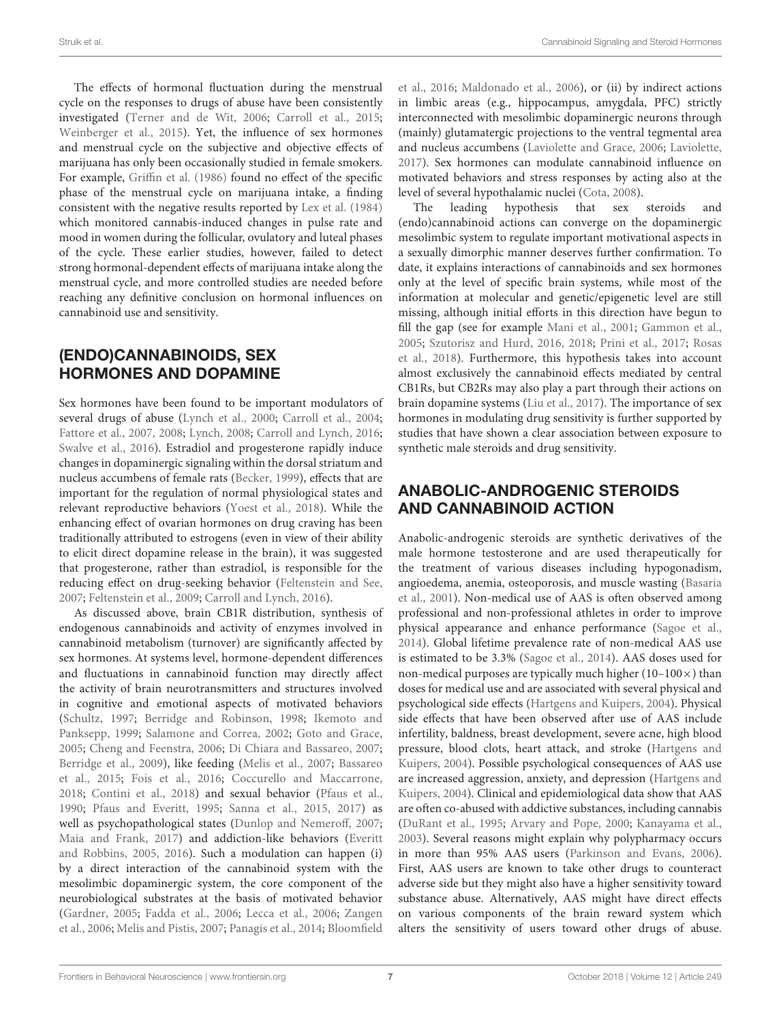The effects of hormonal fluctuation during the menstrual cycle on the responses to drugs of abuse have been consistently investigated [\(Terner and de Wit,](#page-12-28) [2006;](#page-12-28) [Carroll et al.,](#page-8-26) [2015;](#page-8-26) [Weinberger et al.,](#page-13-22) [2015\)](#page-13-22). Yet, the influence of sex hormones and menstrual cycle on the subjective and objective effects of marijuana has only been occasionally studied in female smokers. For example, [Griffin et al.](#page-10-23) [\(1986\)](#page-10-23) found no effect of the specific phase of the menstrual cycle on marijuana intake, a finding consistent with the negative results reported by [Lex et al.](#page-10-24) [\(1984\)](#page-10-24) which monitored cannabis-induced changes in pulse rate and mood in women during the follicular, ovulatory and luteal phases of the cycle. These earlier studies, however, failed to detect strong hormonal-dependent effects of marijuana intake along the menstrual cycle, and more controlled studies are needed before reaching any definitive conclusion on hormonal influences on cannabinoid use and sensitivity.

## (ENDO)CANNABINOIDS, SEX HORMONES AND DOPAMINE

Sex hormones have been found to be important modulators of several drugs of abuse [\(Lynch et al.,](#page-11-30) [2000;](#page-11-30) [Carroll et al.,](#page-8-27) [2004;](#page-8-27) [Fattore et al.,](#page-9-19) [2007,](#page-9-19) [2008;](#page-9-13) [Lynch,](#page-11-31) [2008;](#page-11-31) [Carroll and Lynch,](#page-8-28) [2016;](#page-8-28) [Swalve et al.,](#page-12-29) [2016\)](#page-12-29). Estradiol and progesterone rapidly induce changes in dopaminergic signaling within the dorsal striatum and nucleus accumbens of female rats [\(Becker,](#page-8-29) [1999\)](#page-8-29), effects that are important for the regulation of normal physiological states and relevant reproductive behaviors [\(Yoest et al.,](#page-13-23) [2018\)](#page-13-23). While the enhancing effect of ovarian hormones on drug craving has been traditionally attributed to estrogens (even in view of their ability to elicit direct dopamine release in the brain), it was suggested that progesterone, rather than estradiol, is responsible for the reducing effect on drug-seeking behavior [\(Feltenstein and See,](#page-9-31) [2007;](#page-9-31) [Feltenstein et al.,](#page-9-32) [2009;](#page-9-32) [Carroll and Lynch,](#page-8-28) [2016\)](#page-8-28).

As discussed above, brain CB1R distribution, synthesis of endogenous cannabinoids and activity of enzymes involved in cannabinoid metabolism (turnover) are significantly affected by sex hormones. At systems level, hormone-dependent differences and fluctuations in cannabinoid function may directly affect the activity of brain neurotransmitters and structures involved in cognitive and emotional aspects of motivated behaviors [\(Schultz,](#page-12-30) [1997;](#page-12-30) [Berridge and Robinson,](#page-8-30) [1998;](#page-8-30) [Ikemoto and](#page-10-25) [Panksepp,](#page-10-25) [1999;](#page-10-25) [Salamone and Correa,](#page-12-31) [2002;](#page-12-31) [Goto and Grace,](#page-10-26) [2005;](#page-10-26) [Cheng and Feenstra,](#page-8-31) [2006;](#page-8-31) [Di Chiara and Bassareo,](#page-9-33) [2007;](#page-9-33) [Berridge et al.,](#page-8-32) [2009\)](#page-8-32), like feeding [\(Melis et al.,](#page-11-32) [2007;](#page-11-32) [Bassareo](#page-8-33) [et al.,](#page-8-33) [2015;](#page-8-33) [Fois et al.,](#page-9-34) [2016;](#page-9-34) [Coccurello and Maccarrone,](#page-8-34) [2018;](#page-8-34) [Contini et al.,](#page-8-35) [2018\)](#page-8-35) and sexual behavior [\(Pfaus et al.,](#page-12-32) [1990;](#page-12-32) [Pfaus and Everitt,](#page-12-33) [1995;](#page-12-33) [Sanna et al.,](#page-12-34) [2015,](#page-12-34) [2017\)](#page-12-35) as well as psychopathological states [\(Dunlop and Nemeroff,](#page-9-35) [2007;](#page-9-35) [Maia and Frank,](#page-11-33) [2017\)](#page-11-33) and addiction-like behaviors [\(Everitt](#page-9-36) [and Robbins,](#page-9-36) [2005,](#page-9-36) [2016\)](#page-9-37). Such a modulation can happen (i) by a direct interaction of the cannabinoid system with the mesolimbic dopaminergic system, the core component of the neurobiological substrates at the basis of motivated behavior [\(Gardner,](#page-9-38) [2005;](#page-9-38) [Fadda et al.,](#page-9-39) [2006;](#page-9-39) [Lecca et al.,](#page-10-27) [2006;](#page-10-27) [Zangen](#page-13-24) [et al.,](#page-13-24) [2006;](#page-13-24) [Melis and Pistis,](#page-11-34) [2007;](#page-11-34) [Panagis et al.,](#page-11-35) [2014;](#page-11-35) [Bloomfield](#page-8-36)

[et al.,](#page-8-36) [2016;](#page-8-36) [Maldonado et al.,](#page-11-36) [2006\)](#page-11-36), or (ii) by indirect actions in limbic areas (e.g., hippocampus, amygdala, PFC) strictly interconnected with mesolimbic dopaminergic neurons through (mainly) glutamatergic projections to the ventral tegmental area and nucleus accumbens [\(Laviolette and Grace,](#page-10-28) [2006;](#page-10-28) [Laviolette,](#page-10-29) [2017\)](#page-10-29). Sex hormones can modulate cannabinoid influence on motivated behaviors and stress responses by acting also at the level of several hypothalamic nuclei [\(Cota,](#page-8-37) [2008\)](#page-8-37).

The leading hypothesis that sex steroids and (endo)cannabinoid actions can converge on the dopaminergic mesolimbic system to regulate important motivational aspects in a sexually dimorphic manner deserves further confirmation. To date, it explains interactions of cannabinoids and sex hormones only at the level of specific brain systems, while most of the information at molecular and genetic/epigenetic level are still missing, although initial efforts in this direction have begun to fill the gap (see for example [Mani et al.,](#page-11-16) [2001;](#page-11-16) [Gammon et al.,](#page-9-18) [2005;](#page-9-18) [Szutorisz and Hurd,](#page-12-25) [2016,](#page-12-25) [2018;](#page-12-26) [Prini et al.,](#page-12-27) [2017;](#page-12-27) [Rosas](#page-12-36) [et al.,](#page-12-36) [2018\)](#page-12-36). Furthermore, this hypothesis takes into account almost exclusively the cannabinoid effects mediated by central CB1Rs, but CB2Rs may also play a part through their actions on brain dopamine systems [\(Liu et al.,](#page-10-30) [2017\)](#page-10-30). The importance of sex hormones in modulating drug sensitivity is further supported by studies that have shown a clear association between exposure to synthetic male steroids and drug sensitivity.

#### ANABOLIC-ANDROGENIC STEROIDS AND CANNABINOID ACTION

Anabolic-androgenic steroids are synthetic derivatives of the male hormone testosterone and are used therapeutically for the treatment of various diseases including hypogonadism, angioedema, anemia, osteoporosis, and muscle wasting [\(Basaria](#page-8-38) [et al.,](#page-8-38) [2001\)](#page-8-38). Non-medical use of AAS is often observed among professional and non-professional athletes in order to improve physical appearance and enhance performance [\(Sagoe et al.,](#page-12-37) [2014\)](#page-12-37). Global lifetime prevalence rate of non-medical AAS use is estimated to be 3.3% [\(Sagoe et al.,](#page-12-37) [2014\)](#page-12-37). AAS doses used for non-medical purposes are typically much higher  $(10-100\times)$  than doses for medical use and are associated with several physical and psychological side effects [\(Hartgens and Kuipers,](#page-10-31) [2004\)](#page-10-31). Physical side effects that have been observed after use of AAS include infertility, baldness, breast development, severe acne, high blood pressure, blood clots, heart attack, and stroke [\(Hartgens and](#page-10-31) [Kuipers,](#page-10-31) [2004\)](#page-10-31). Possible psychological consequences of AAS use are increased aggression, anxiety, and depression [\(Hartgens and](#page-10-31) [Kuipers,](#page-10-31) [2004\)](#page-10-31). Clinical and epidemiological data show that AAS are often co-abused with addictive substances, including cannabis [\(DuRant et al.,](#page-9-40) [1995;](#page-9-40) [Arvary and Pope,](#page-8-39) [2000;](#page-8-39) [Kanayama et al.,](#page-10-32) [2003\)](#page-10-32). Several reasons might explain why polypharmacy occurs in more than 95% AAS users [\(Parkinson and Evans,](#page-11-37) [2006\)](#page-11-37). First, AAS users are known to take other drugs to counteract adverse side but they might also have a higher sensitivity toward substance abuse. Alternatively, AAS might have direct effects on various components of the brain reward system which alters the sensitivity of users toward other drugs of abuse.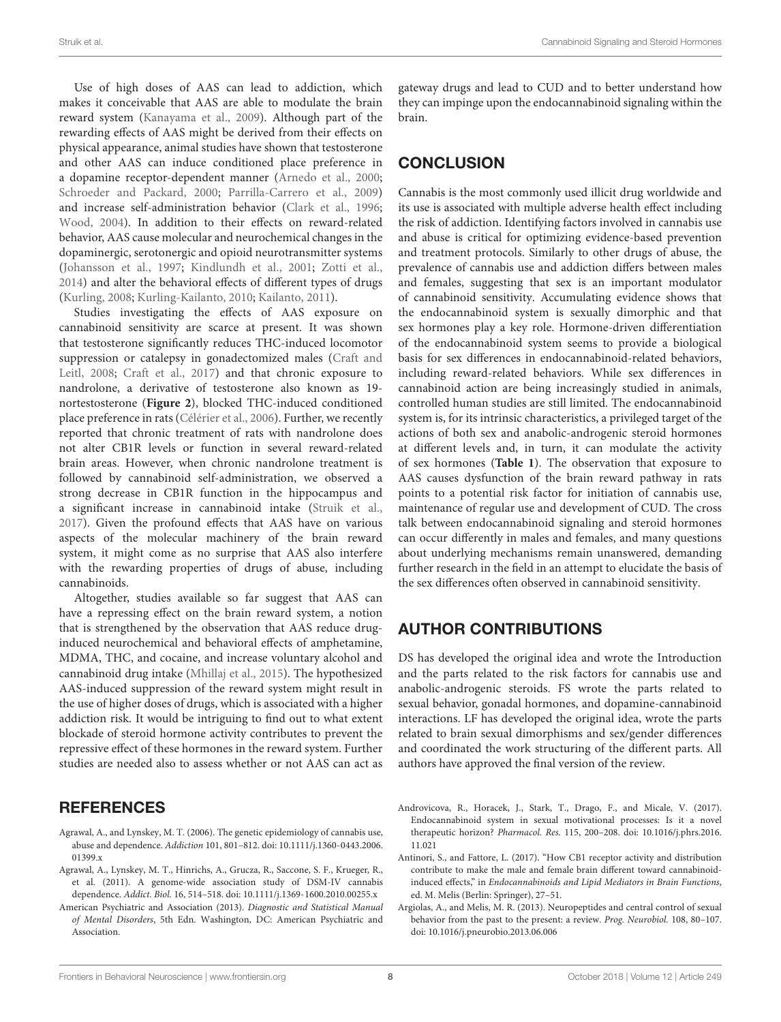Use of high doses of AAS can lead to addiction, which makes it conceivable that AAS are able to modulate the brain reward system [\(Kanayama et al.,](#page-10-33) [2009\)](#page-10-33). Although part of the rewarding effects of AAS might be derived from their effects on physical appearance, animal studies have shown that testosterone and other AAS can induce conditioned place preference in a dopamine receptor-dependent manner [\(Arnedo et al.,](#page-8-40) [2000;](#page-8-40) [Schroeder and Packard,](#page-12-38) [2000;](#page-12-38) [Parrilla-Carrero et al.,](#page-11-38) [2009\)](#page-11-38) and increase self-administration behavior [\(Clark et al.,](#page-8-41) [1996;](#page-8-41) [Wood,](#page-13-25) [2004\)](#page-13-25). In addition to their effects on reward-related behavior, AAS cause molecular and neurochemical changes in the dopaminergic, serotonergic and opioid neurotransmitter systems [\(Johansson et al.,](#page-10-34) [1997;](#page-10-34) [Kindlundh et al.,](#page-10-35) [2001;](#page-10-35) [Zotti et al.,](#page-13-26) [2014\)](#page-13-26) and alter the behavioral effects of different types of drugs [\(Kurling,](#page-10-36) [2008;](#page-10-36) [Kurling-Kailanto,](#page-10-37) [2010;](#page-10-37) [Kailanto,](#page-10-38) [2011\)](#page-10-38).

Studies investigating the effects of AAS exposure on cannabinoid sensitivity are scarce at present. It was shown that testosterone significantly reduces THC-induced locomotor suppression or catalepsy in gonadectomized males [\(Craft and](#page-8-20) [Leitl,](#page-8-20) [2008;](#page-8-20) [Craft et al.,](#page-8-19) [2017\)](#page-8-19) and that chronic exposure to nandrolone, a derivative of testosterone also known as 19 nortestosterone (**[Figure 2](#page-2-0)**), blocked THC-induced conditioned place preference in rats [\(Célérier et al.,](#page-8-17) [2006\)](#page-8-17). Further, we recently reported that chronic treatment of rats with nandrolone does not alter CB1R levels or function in several reward-related brain areas. However, when chronic nandrolone treatment is followed by cannabinoid self-administration, we observed a strong decrease in CB1R function in the hippocampus and a significant increase in cannabinoid intake [\(Struik et al.,](#page-12-1) [2017\)](#page-12-1). Given the profound effects that AAS have on various aspects of the molecular machinery of the brain reward system, it might come as no surprise that AAS also interfere with the rewarding properties of drugs of abuse, including cannabinoids.

Altogether, studies available so far suggest that AAS can have a repressing effect on the brain reward system, a notion that is strengthened by the observation that AAS reduce druginduced neurochemical and behavioral effects of amphetamine, MDMA, THC, and cocaine, and increase voluntary alcohol and cannabinoid drug intake [\(Mhillaj et al.,](#page-11-39) [2015\)](#page-11-39). The hypothesized AAS-induced suppression of the reward system might result in the use of higher doses of drugs, which is associated with a higher addiction risk. It would be intriguing to find out to what extent blockade of steroid hormone activity contributes to prevent the repressive effect of these hormones in the reward system. Further studies are needed also to assess whether or not AAS can act as

#### **REFERENCES**

- <span id="page-7-1"></span>Agrawal, A., and Lynskey, M. T. (2006). The genetic epidemiology of cannabis use, abuse and dependence. Addiction 101, 801–812. [doi: 10.1111/j.1360-0443.2006.](https://doi.org/10.1111/j.1360-0443.2006.01399.x) [01399.x](https://doi.org/10.1111/j.1360-0443.2006.01399.x)
- <span id="page-7-2"></span>Agrawal, A., Lynskey, M. T., Hinrichs, A., Grucza, R., Saccone, S. F., Krueger, R., et al. (2011). A genome-wide association study of DSM-IV cannabis dependence. Addict. Biol. 16, 514–518. [doi: 10.1111/j.1369-1600.2010.00255.x](https://doi.org/10.1111/j.1369-1600.2010.00255.x)
- <span id="page-7-0"></span>American Psychiatric and Association (2013). Diagnostic and Statistical Manual of Mental Disorders, 5th Edn. Washington, DC: American Psychiatric and Association.

gateway drugs and lead to CUD and to better understand how they can impinge upon the endocannabinoid signaling within the brain.

### **CONCLUSION**

Cannabis is the most commonly used illicit drug worldwide and its use is associated with multiple adverse health effect including the risk of addiction. Identifying factors involved in cannabis use and abuse is critical for optimizing evidence-based prevention and treatment protocols. Similarly to other drugs of abuse, the prevalence of cannabis use and addiction differs between males and females, suggesting that sex is an important modulator of cannabinoid sensitivity. Accumulating evidence shows that the endocannabinoid system is sexually dimorphic and that sex hormones play a key role. Hormone-driven differentiation of the endocannabinoid system seems to provide a biological basis for sex differences in endocannabinoid-related behaviors, including reward-related behaviors. While sex differences in cannabinoid action are being increasingly studied in animals, controlled human studies are still limited. The endocannabinoid system is, for its intrinsic characteristics, a privileged target of the actions of both sex and anabolic-androgenic steroid hormones at different levels and, in turn, it can modulate the activity of sex hormones (**[Table 1](#page-3-0)**). The observation that exposure to AAS causes dysfunction of the brain reward pathway in rats points to a potential risk factor for initiation of cannabis use, maintenance of regular use and development of CUD. The cross talk between endocannabinoid signaling and steroid hormones can occur differently in males and females, and many questions about underlying mechanisms remain unanswered, demanding further research in the field in an attempt to elucidate the basis of the sex differences often observed in cannabinoid sensitivity.

## AUTHOR CONTRIBUTIONS

DS has developed the original idea and wrote the Introduction and the parts related to the risk factors for cannabis use and anabolic-androgenic steroids. FS wrote the parts related to sexual behavior, gonadal hormones, and dopamine-cannabinoid interactions. LF has developed the original idea, wrote the parts related to brain sexual dimorphisms and sex/gender differences and coordinated the work structuring of the different parts. All authors have approved the final version of the review.

- <span id="page-7-5"></span>Androvicova, R., Horacek, J., Stark, T., Drago, F., and Micale, V. (2017). Endocannabinoid system in sexual motivational processes: Is it a novel therapeutic horizon? Pharmacol. Res. 115, 200–208. [doi: 10.1016/j.phrs.2016.](https://doi.org/10.1016/j.phrs.2016.11.021) [11.021](https://doi.org/10.1016/j.phrs.2016.11.021)
- <span id="page-7-4"></span>Antinori, S., and Fattore, L. (2017). "How CB1 receptor activity and distribution contribute to make the male and female brain different toward cannabinoidinduced effects," in Endocannabinoids and Lipid Mediators in Brain Functions, ed. M. Melis (Berlin: Springer), 27–51.
- <span id="page-7-3"></span>Argiolas, A., and Melis, M. R. (2013). Neuropeptides and central control of sexual behavior from the past to the present: a review. Prog. Neurobiol. 108, 80–107. [doi: 10.1016/j.pneurobio.2013.06.006](https://doi.org/10.1016/j.pneurobio.2013.06.006)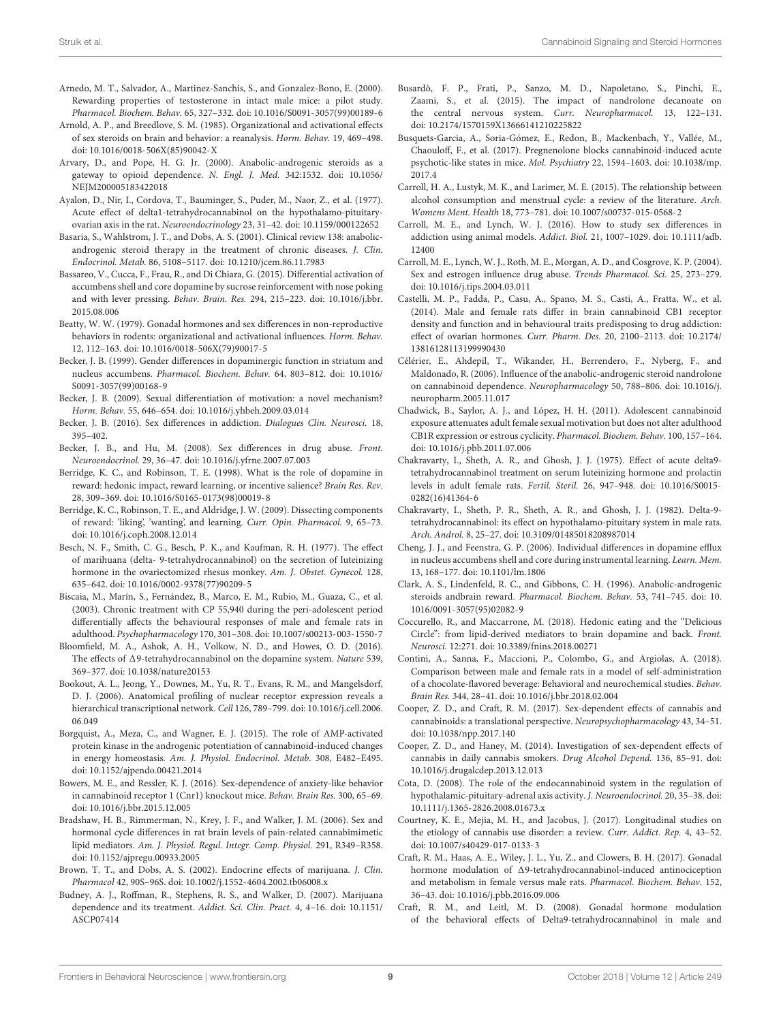- <span id="page-8-40"></span>Arnedo, M. T., Salvador, A., Martinez-Sanchis, S., and Gonzalez-Bono, E. (2000). Rewarding properties of testosterone in intact male mice: a pilot study. Pharmacol. Biochem. Behav. 65, 327–332. [doi: 10.1016/S0091-3057\(99\)00189-6](https://doi.org/10.1016/S0091-3057(99)00189-6)
- <span id="page-8-6"></span>Arnold, A. P., and Breedlove, S. M. (1985). Organizational and activational effects of sex steroids on brain and behavior: a reanalysis. Horm. Behav. 19, 469–498. [doi: 10.1016/0018-506X\(85\)90042-X](https://doi.org/10.1016/0018-506X(85)90042-X)
- <span id="page-8-39"></span>Arvary, D., and Pope, H. G. Jr. (2000). Anabolic-androgenic steroids as a gateway to opioid dependence. N. Engl. J. Med. 342:1532. [doi: 10.1056/](https://doi.org/10.1056/NEJM200005183422018) [NEJM200005183422018](https://doi.org/10.1056/NEJM200005183422018)
- <span id="page-8-13"></span>Ayalon, D., Nir, I., Cordova, T., Bauminger, S., Puder, M., Naor, Z., et al. (1977). Acute effect of delta1-tetrahydrocannabinol on the hypothalamo-pituitaryovarian axis in the rat. Neuroendocrinology 23, 31–42. [doi: 10.1159/000122652](https://doi.org/10.1159/000122652)
- <span id="page-8-38"></span>Basaria, S., Wahlstrom, J. T., and Dobs, A. S. (2001). Clinical review 138: anabolicandrogenic steroid therapy in the treatment of chronic diseases. J. Clin. Endocrinol. Metab. 86, 5108–5117. [doi: 10.1210/jcem.86.11.7983](https://doi.org/10.1210/jcem.86.11.7983)
- <span id="page-8-33"></span>Bassareo, V., Cucca, F., Frau, R., and Di Chiara, G. (2015). Differential activation of accumbens shell and core dopamine by sucrose reinforcement with nose poking and with lever pressing. Behav. Brain. Res. 294, 215–223. [doi: 10.1016/j.bbr.](https://doi.org/10.1016/j.bbr.2015.08.006) [2015.08.006](https://doi.org/10.1016/j.bbr.2015.08.006)
- <span id="page-8-8"></span>Beatty, W. W. (1979). Gonadal hormones and sex differences in non-reproductive behaviors in rodents: organizational and activational influences. Horm. Behav. 12, 112–163. [doi: 10.1016/0018-506X\(79\)90017-5](https://doi.org/10.1016/0018-506X(79)90017-5)
- <span id="page-8-29"></span>Becker, J. B. (1999). Gender differences in dopaminergic function in striatum and nucleus accumbens. Pharmacol. Biochem. Behav. 64, 803–812. [doi: 10.1016/](https://doi.org/10.1016/S0091-3057(99)00168-9) [S0091-3057\(99\)00168-9](https://doi.org/10.1016/S0091-3057(99)00168-9)
- <span id="page-8-7"></span>Becker, J. B. (2009). Sexual differentiation of motivation: a novel mechanism? Horm. Behav. 55, 646–654. [doi: 10.1016/j.yhbeh.2009.03.014](https://doi.org/10.1016/j.yhbeh.2009.03.014)
- <span id="page-8-23"></span>Becker, J. B. (2016). Sex differences in addiction. Dialogues Clin. Neurosci. 18, 395–402.
- <span id="page-8-5"></span>Becker, J. B., and Hu, M. (2008). Sex differences in drug abuse. Front. Neuroendocrinol. 29, 36–47. [doi: 10.1016/j.yfrne.2007.07.003](https://doi.org/10.1016/j.yfrne.2007.07.003)
- <span id="page-8-30"></span>Berridge, K. C., and Robinson, T. E. (1998). What is the role of dopamine in reward: hedonic impact, reward learning, or incentive salience? Brain Res. Rev. 28, 309–369. [doi: 10.1016/S0165-0173\(98\)00019-8](https://doi.org/10.1016/S0165-0173(98)00019-8)
- <span id="page-8-32"></span>Berridge, K. C., Robinson, T. E., and Aldridge, J. W. (2009). Dissecting components of reward: 'liking', 'wanting', and learning. Curr. Opin. Pharmacol. 9, 65–73. [doi: 10.1016/j.coph.2008.12.014](https://doi.org/10.1016/j.coph.2008.12.014)
- <span id="page-8-14"></span>Besch, N. F., Smith, C. G., Besch, P. K., and Kaufman, R. H. (1977). The effect of marihuana (delta- 9-tetrahydrocannabinol) on the secretion of luteinizing hormone in the ovariectomized rhesus monkey. Am. J. Obstet. Gynecol. 128, 635–642. [doi: 10.1016/0002-9378\(77\)90209-5](https://doi.org/10.1016/0002-9378(77)90209-5)
- <span id="page-8-24"></span>Biscaia, M., Marín, S., Fernández, B., Marco, E. M., Rubio, M., Guaza, C., et al. (2003). Chronic treatment with CP 55,940 during the peri-adolescent period differentially affects the behavioural responses of male and female rats in adulthood. Psychopharmacology 170, 301–308. [doi: 10.1007/s00213-003-1550-7](https://doi.org/10.1007/s00213-003-1550-7)
- <span id="page-8-36"></span>Bloomfield, M. A., Ashok, A. H., Volkow, N. D., and Howes, O. D. (2016). The effects of  $\Delta$ 9-tetrahydrocannabinol on the dopamine system. Nature 539, 369–377. [doi: 10.1038/nature20153](https://doi.org/10.1038/nature20153)
- <span id="page-8-11"></span>Bookout, A. L., Jeong, Y., Downes, M., Yu, R. T., Evans, R. M., and Mangelsdorf, D. J. (2006). Anatomical profiling of nuclear receptor expression reveals a hierarchical transcriptional network. Cell 126, 789–799. [doi: 10.1016/j.cell.2006.](https://doi.org/10.1016/j.cell.2006.06.049) [06.049](https://doi.org/10.1016/j.cell.2006.06.049)
- <span id="page-8-18"></span>Borgquist, A., Meza, C., and Wagner, E. J. (2015). The role of AMP-activated protein kinase in the androgenic potentiation of cannabinoid-induced changes in energy homeostasis. Am. J. Physiol. Endocrinol. Metab. 308, E482–E495. [doi: 10.1152/ajpendo.00421.2014](https://doi.org/10.1152/ajpendo.00421.2014)
- <span id="page-8-22"></span>Bowers, M. E., and Ressler, K. J. (2016). Sex-dependence of anxiety-like behavior in cannabinoid receptor 1 (Cnr1) knockout mice. Behav. Brain Res. 300, 65–69. [doi: 10.1016/j.bbr.2015.12.005](https://doi.org/10.1016/j.bbr.2015.12.005)
- <span id="page-8-16"></span>Bradshaw, H. B., Rimmerman, N., Krey, J. F., and Walker, J. M. (2006). Sex and hormonal cycle differences in rat brain levels of pain-related cannabimimetic lipid mediators. Am. J. Physiol. Regul. Integr. Comp. Physiol. 291, R349–R358. [doi: 10.1152/ajpregu.00933.2005](https://doi.org/10.1152/ajpregu.00933.2005)
- <span id="page-8-10"></span>Brown, T. T., and Dobs, A. S. (2002). Endocrine effects of marijuana. J. Clin. Pharmacol 42, 90S–96S. [doi: 10.1002/j.1552-4604.2002.tb06008.x](https://doi.org/10.1002/j.1552-4604.2002.tb06008.x)
- <span id="page-8-0"></span>Budney, A. J., Roffman, R., Stephens, R. S., and Walker, D. (2007). Marijuana dependence and its treatment. Addict. Sci. Clin. Pract. 4, 4–16. [doi: 10.1151/](https://doi.org/10.1151/ASCP07414) [ASCP07414](https://doi.org/10.1151/ASCP07414)
- <span id="page-8-1"></span>Busardò, F. P., Frati, P., Sanzo, M. D., Napoletano, S., Pinchi, E., Zaami, S., et al. (2015). The impact of nandrolone decanoate on the central nervous system. Curr. Neuropharmacol. 13, 122–131. [doi: 10.2174/1570159X13666141210225822](https://doi.org/10.2174/1570159X13666141210225822)
- <span id="page-8-9"></span>Busquets-Garcia, A., Soria-Gómez, E., Redon, B., Mackenbach, Y., Vallée, M., Chaouloff, F., et al. (2017). Pregnenolone blocks cannabinoid-induced acute psychotic-like states in mice. Mol. Psychiatry 22, 1594–1603. [doi: 10.1038/mp.](https://doi.org/10.1038/mp.2017.4) [2017.4](https://doi.org/10.1038/mp.2017.4)
- <span id="page-8-26"></span>Carroll, H. A., Lustyk, M. K., and Larimer, M. E. (2015). The relationship between alcohol consumption and menstrual cycle: a review of the literature. Arch. Womens Ment. Health 18, 773–781. [doi: 10.1007/s00737-015-0568-2](https://doi.org/10.1007/s00737-015-0568-2)
- <span id="page-8-28"></span>Carroll, M. E., and Lynch, W. J. (2016). How to study sex differences in addiction using animal models. Addict. Biol. 21, 1007–1029. [doi: 10.1111/adb.](https://doi.org/10.1111/adb.12400) [12400](https://doi.org/10.1111/adb.12400)
- <span id="page-8-27"></span>Carroll, M. E., Lynch, W. J., Roth, M. E., Morgan, A. D., and Cosgrove, K. P. (2004). Sex and estrogen influence drug abuse. Trends Pharmacol. Sci. 25, 273–279. [doi: 10.1016/j.tips.2004.03.011](https://doi.org/10.1016/j.tips.2004.03.011)
- <span id="page-8-21"></span>Castelli, M. P., Fadda, P., Casu, A., Spano, M. S., Casti, A., Fratta, W., et al. (2014). Male and female rats differ in brain cannabinoid CB1 receptor density and function and in behavioural traits predisposing to drug addiction: effect of ovarian hormones. Curr. Pharm. Des. 20, 2100–2113. [doi: 10.2174/](https://doi.org/10.2174/13816128113199990430) [13816128113199990430](https://doi.org/10.2174/13816128113199990430)
- <span id="page-8-17"></span>Célérier, E., Ahdepil, T., Wikander, H., Berrendero, F., Nyberg, F., and Maldonado, R. (2006). Influence of the anabolic-androgenic steroid nandrolone on cannabinoid dependence. Neuropharmacology 50, 788–806. [doi: 10.1016/j.](https://doi.org/10.1016/j.neuropharm.2005.11.017) [neuropharm.2005.11.017](https://doi.org/10.1016/j.neuropharm.2005.11.017)
- <span id="page-8-25"></span>Chadwick, B., Saylor, A. J., and López, H. H. (2011). Adolescent cannabinoid exposure attenuates adult female sexual motivation but does not alter adulthood CB1R expression or estrous cyclicity. Pharmacol. Biochem. Behav. 100, 157–164. [doi: 10.1016/j.pbb.2011.07.006](https://doi.org/10.1016/j.pbb.2011.07.006)
- <span id="page-8-12"></span>Chakravarty, I., Sheth, A. R., and Ghosh, J. J. (1975). Effect of acute delta9 tetrahydrocannabinol treatment on serum luteinizing hormone and prolactin levels in adult female rats. Fertil. Steril. 26, 947–948. [doi: 10.1016/S0015-](https://doi.org/10.1016/S0015-0282(16)41364-6) [0282\(16\)41364-6](https://doi.org/10.1016/S0015-0282(16)41364-6)
- <span id="page-8-15"></span>Chakravarty, I., Sheth, P. R., Sheth, A. R., and Ghosh, J. J. (1982). Delta-9 tetrahydrocannabinol: its effect on hypothalamo-pituitary system in male rats. Arch. Androl. 8, 25–27. [doi: 10.3109/01485018208987014](https://doi.org/10.3109/01485018208987014)
- <span id="page-8-31"></span>Cheng, J. J., and Feenstra, G. P. (2006). Individual differences in dopamine efflux in nucleus accumbens shell and core during instrumental learning. Learn. Mem. 13, 168–177. [doi: 10.1101/lm.1806](https://doi.org/10.1101/lm.1806)
- <span id="page-8-41"></span>Clark, A. S., Lindenfeld, R. C., and Gibbons, C. H. (1996). Anabolic-androgenic steroids andbrain reward. Pharmacol. Biochem. Behav. 53, 741–745. [doi: 10.](https://doi.org/10.1016/0091-3057(95)02082-9) [1016/0091-3057\(95\)02082-9](https://doi.org/10.1016/0091-3057(95)02082-9)
- <span id="page-8-34"></span>Coccurello, R., and Maccarrone, M. (2018). Hedonic eating and the "Delicious Circle": from lipid-derived mediators to brain dopamine and back. Front. Neurosci. 12:271. [doi: 10.3389/fnins.2018.00271](https://doi.org/10.3389/fnins.2018.00271)
- <span id="page-8-35"></span>Contini, A., Sanna, F., Maccioni, P., Colombo, G., and Argiolas, A. (2018). Comparison between male and female rats in a model of self-administration of a chocolate-flavored beverage: Behavioral and neurochemical studies. Behav. Brain Res. 344, 28–41. [doi: 10.1016/j.bbr.2018.02.004](https://doi.org/10.1016/j.bbr.2018.02.004)
- <span id="page-8-3"></span>Cooper, Z. D., and Craft, R. M. (2017). Sex-dependent effects of cannabis and cannabinoids: a translational perspective. Neuropsychopharmacology 43, 34–51. [doi: 10.1038/npp.2017.140](https://doi.org/10.1038/npp.2017.140)
- <span id="page-8-4"></span>Cooper, Z. D., and Haney, M. (2014). Investigation of sex-dependent effects of cannabis in daily cannabis smokers. Drug Alcohol Depend. 136, 85–91. [doi:](https://doi.org/10.1016/j.drugalcdep.2013.12.013) [10.1016/j.drugalcdep.2013.12.013](https://doi.org/10.1016/j.drugalcdep.2013.12.013)
- <span id="page-8-37"></span>Cota, D. (2008). The role of the endocannabinoid system in the regulation of hypothalamic-pituitary-adrenal axis activity. J. Neuroendocrinol. 20, 35–38. [doi:](https://doi.org/10.1111/j.1365-2826.2008.01673.x) [10.1111/j.1365-2826.2008.01673.x](https://doi.org/10.1111/j.1365-2826.2008.01673.x)
- <span id="page-8-2"></span>Courtney, K. E., Mejia, M. H., and Jacobus, J. (2017). Longitudinal studies on the etiology of cannabis use disorder: a review. Curr. Addict. Rep. 4, 43–52. [doi: 10.1007/s40429-017-0133-3](https://doi.org/10.1007/s40429-017-0133-3)
- <span id="page-8-19"></span>Craft, R. M., Haas, A. E., Wiley, J. L., Yu, Z., and Clowers, B. H. (2017). Gonadal hormone modulation of  $\Delta$ 9-tetrahydrocannabinol-induced antinociception and metabolism in female versus male rats. Pharmacol. Biochem. Behav. 152, 36–43. [doi: 10.1016/j.pbb.2016.09.006](https://doi.org/10.1016/j.pbb.2016.09.006)
- <span id="page-8-20"></span>Craft, R. M., and Leitl, M. D. (2008). Gonadal hormone modulation of the behavioral effects of Delta9-tetrahydrocannabinol in male and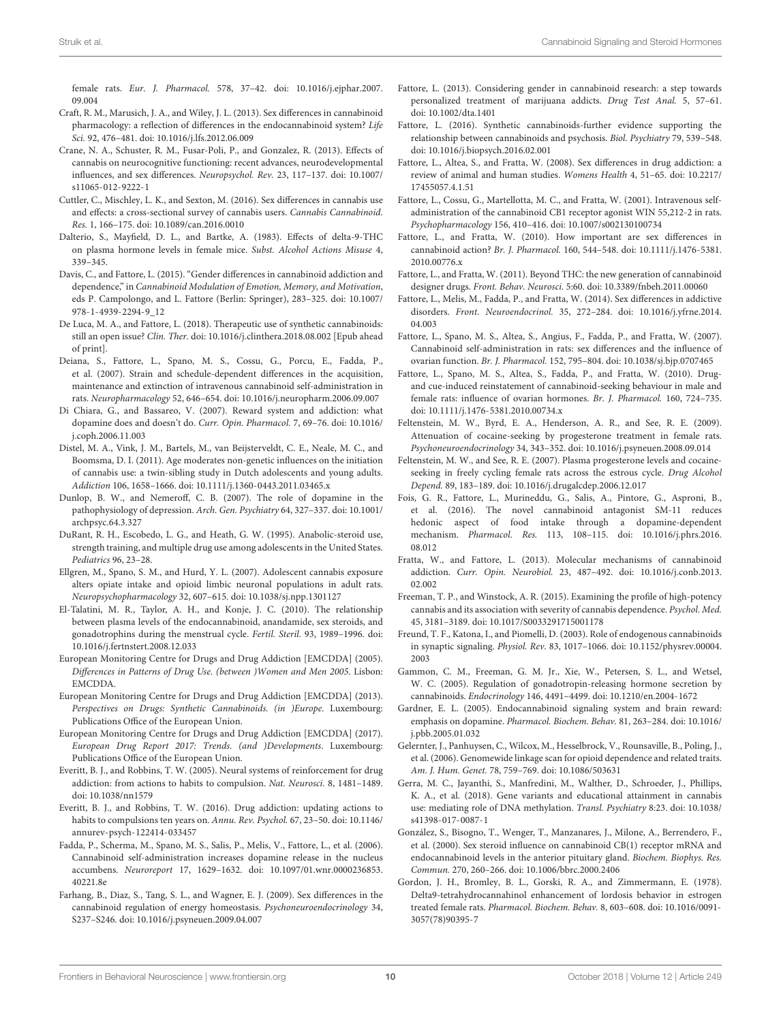female rats. Eur. J. Pharmacol. 578, 37–42. [doi: 10.1016/j.ejphar.2007.](https://doi.org/10.1016/j.ejphar.2007.09.004) [09.004](https://doi.org/10.1016/j.ejphar.2007.09.004)

- <span id="page-9-21"></span>Craft, R. M., Marusich, J. A., and Wiley, J. L. (2013). Sex differences in cannabinoid pharmacology: a reflection of differences in the endocannabinoid system? Life Sci. 92, 476–481. [doi: 10.1016/j.lfs.2012.06.009](https://doi.org/10.1016/j.lfs.2012.06.009)
- <span id="page-9-26"></span>Crane, N. A., Schuster, R. M., Fusar-Poli, P., and Gonzalez, R. (2013). Effects of cannabis on neurocognitive functioning: recent advances, neurodevelopmental influences, and sex differences. Neuropsychol. Rev. 23, 117–137. [doi: 10.1007/](https://doi.org/10.1007/s11065-012-9222-1) [s11065-012-9222-1](https://doi.org/10.1007/s11065-012-9222-1)
- <span id="page-9-12"></span>Cuttler, C., Mischley, L. K., and Sexton, M. (2016). Sex differences in cannabis use and effects: a cross-sectional survey of cannabis users. Cannabis Cannabinoid. Res. 1, 166–175. [doi: 10.1089/can.2016.0010](https://doi.org/10.1089/can.2016.0010)
- <span id="page-9-16"></span>Dalterio, S., Mayfield, D. L., and Bartke, A. (1983). Effects of delta-9-THC on plasma hormone levels in female mice. Subst. Alcohol Actions Misuse 4, 339–345.
- <span id="page-9-7"></span>Davis, C., and Fattore, L. (2015). "Gender differences in cannabinoid addiction and dependence," in Cannabinoid Modulation of Emotion, Memory, and Motivation, eds P. Campolongo, and L. Fattore (Berlin: Springer), 283–325. [doi: 10.1007/](https://doi.org/10.1007/978-1-4939-2294-9_12) [978-1-4939-2294-9\\_12](https://doi.org/10.1007/978-1-4939-2294-9_12)
- <span id="page-9-3"></span>De Luca, M. A., and Fattore, L. (2018). Therapeutic use of synthetic cannabinoids: still an open issue? Clin. Ther. [doi: 10.1016/j.clinthera.2018.08.002](https://doi.org/10.1016/j.clinthera.2018.08.002) [Epub ahead of print].
- <span id="page-9-30"></span>Deiana, S., Fattore, L., Spano, M. S., Cossu, G., Porcu, E., Fadda, P., et al. (2007). Strain and schedule-dependent differences in the acquisition, maintenance and extinction of intravenous cannabinoid self-administration in rats. Neuropharmacology 52, 646–654. [doi: 10.1016/j.neuropharm.2006.09.007](https://doi.org/10.1016/j.neuropharm.2006.09.007)
- <span id="page-9-33"></span>Di Chiara, G., and Bassareo, V. (2007). Reward system and addiction: what dopamine does and doesn't do. Curr. Opin. Pharmacol. 7, 69–76. [doi: 10.1016/](https://doi.org/10.1016/j.coph.2006.11.003) [j.coph.2006.11.003](https://doi.org/10.1016/j.coph.2006.11.003)
- <span id="page-9-9"></span>Distel, M. A., Vink, J. M., Bartels, M., van Beijsterveldt, C. E., Neale, M. C., and Boomsma, D. I. (2011). Age moderates non-genetic influences on the initiation of cannabis use: a twin-sibling study in Dutch adolescents and young adults. Addiction 106, 1658–1666. [doi: 10.1111/j.1360-0443.2011.03465.x](https://doi.org/10.1111/j.1360-0443.2011.03465.x)
- <span id="page-9-35"></span>Dunlop, B. W., and Nemeroff, C. B. (2007). The role of dopamine in the pathophysiology of depression. Arch. Gen. Psychiatry 64, 327–337. [doi: 10.1001/](https://doi.org/10.1001/archpsyc.64.3.327) [archpsyc.64.3.327](https://doi.org/10.1001/archpsyc.64.3.327)
- <span id="page-9-40"></span>DuRant, R. H., Escobedo, L. G., and Heath, G. W. (1995). Anabolic-steroid use, strength training, and multiple drug use among adolescents in the United States. Pediatrics 96, 23–28.
- <span id="page-9-28"></span>Ellgren, M., Spano, S. M., and Hurd, Y. L. (2007). Adolescent cannabis exposure alters opiate intake and opioid limbic neuronal populations in adult rats. Neuropsychopharmacology 32, 607–615. [doi: 10.1038/sj.npp.1301127](https://doi.org/10.1038/sj.npp.1301127)
- <span id="page-9-23"></span>El-Talatini, M. R., Taylor, A. H., and Konje, J. C. (2010). The relationship between plasma levels of the endocannabinoid, anandamide, sex steroids, and gonadotrophins during the menstrual cycle. Fertil. Steril. 93, 1989–1996. [doi:](https://doi.org/10.1016/j.fertnstert.2008.12.033) [10.1016/j.fertnstert.2008.12.033](https://doi.org/10.1016/j.fertnstert.2008.12.033)
- <span id="page-9-6"></span>European Monitoring Centre for Drugs and Drug Addiction [EMCDDA] (2005). Differences in Patterns of Drug Use. (between )Women and Men 2005. Lisbon: EMCDDA.
- <span id="page-9-4"></span>European Monitoring Centre for Drugs and Drug Addiction [EMCDDA] (2013). Perspectives on Drugs: Synthetic Cannabinoids. (in )Europe. Luxembourg: Publications Office of the European Union.
- <span id="page-9-1"></span>European Monitoring Centre for Drugs and Drug Addiction [EMCDDA] (2017). European Drug Report 2017: Trends. (and )Developments. Luxembourg: Publications Office of the European Union.
- <span id="page-9-36"></span>Everitt, B. J., and Robbins, T. W. (2005). Neural systems of reinforcement for drug addiction: from actions to habits to compulsion. Nat. Neurosci. 8, 1481–1489. [doi: 10.1038/nn1579](https://doi.org/10.1038/nn1579)
- <span id="page-9-37"></span>Everitt, B. J., and Robbins, T. W. (2016). Drug addiction: updating actions to habits to compulsions ten years on. Annu. Rev. Psychol. 67, 23–50. [doi: 10.1146/](https://doi.org/10.1146/annurev-psych-122414-033457) [annurev-psych-122414-033457](https://doi.org/10.1146/annurev-psych-122414-033457)
- <span id="page-9-39"></span>Fadda, P., Scherma, M., Spano, M. S., Salis, P., Melis, V., Fattore, L., et al. (2006). Cannabinoid self-administration increases dopamine release in the nucleus accumbens. Neuroreport 17, 1629–1632. [doi: 10.1097/01.wnr.0000236853.](https://doi.org/10.1097/01.wnr.0000236853.40221.8e) [40221.8e](https://doi.org/10.1097/01.wnr.0000236853.40221.8e)
- <span id="page-9-25"></span>Farhang, B., Diaz, S., Tang, S. L., and Wagner, E. J. (2009). Sex differences in the cannabinoid regulation of energy homeostasis. Psychoneuroendocrinology 34, S237–S246. [doi: 10.1016/j.psyneuen.2009.04.007](https://doi.org/10.1016/j.psyneuen.2009.04.007)
- <span id="page-9-14"></span>Fattore, L. (2013). Considering gender in cannabinoid research: a step towards personalized treatment of marijuana addicts. Drug Test Anal. 5, 57–61. [doi: 10.1002/dta.1401](https://doi.org/10.1002/dta.1401)
- <span id="page-9-2"></span>Fattore, L. (2016). Synthetic cannabinoids-further evidence supporting the relationship between cannabinoids and psychosis. Biol. Psychiatry 79, 539–548. [doi: 10.1016/j.biopsych.2016.02.001](https://doi.org/10.1016/j.biopsych.2016.02.001)
- <span id="page-9-13"></span>Fattore, L., Altea, S., and Fratta, W. (2008). Sex differences in drug addiction: a review of animal and human studies. Womens Health 4, 51–65. [doi: 10.2217/](https://doi.org/10.2217/17455057.4.1.51) [17455057.4.1.51](https://doi.org/10.2217/17455057.4.1.51)
- <span id="page-9-29"></span>Fattore, L., Cossu, G., Martellotta, M. C., and Fratta, W. (2001). Intravenous selfadministration of the cannabinoid CB1 receptor agonist WIN 55,212-2 in rats. Psychopharmacology 156, 410–416. [doi: 10.1007/s002130100734](https://doi.org/10.1007/s002130100734)
- <span id="page-9-8"></span>Fattore, L., and Fratta, W. (2010). How important are sex differences in cannabinoid action? Br. J. Pharmacol. 160, 544–548. [doi: 10.1111/j.1476-5381.](https://doi.org/10.1111/j.1476-5381.2010.00776.x) [2010.00776.x](https://doi.org/10.1111/j.1476-5381.2010.00776.x)
- <span id="page-9-0"></span>Fattore, L., and Fratta, W. (2011). Beyond THC: the new generation of cannabinoid designer drugs. Front. Behav. Neurosci. 5:60. [doi: 10.3389/fnbeh.2011.00060](https://doi.org/10.3389/fnbeh.2011.00060)
- <span id="page-9-27"></span>Fattore, L., Melis, M., Fadda, P., and Fratta, W. (2014). Sex differences in addictive disorders. Front. Neuroendocrinol. 35, 272–284. [doi: 10.1016/j.yfrne.2014.](https://doi.org/10.1016/j.yfrne.2014.04.003) [04.003](https://doi.org/10.1016/j.yfrne.2014.04.003)
- <span id="page-9-19"></span>Fattore, L., Spano, M. S., Altea, S., Angius, F., Fadda, P., and Fratta, W. (2007). Cannabinoid self-administration in rats: sex differences and the influence of ovarian function. Br. J. Pharmacol. 152, 795–804. [doi: 10.1038/sj.bjp.0707465](https://doi.org/10.1038/sj.bjp.0707465)
- <span id="page-9-20"></span>Fattore, L., Spano, M. S., Altea, S., Fadda, P., and Fratta, W. (2010). Drugand cue-induced reinstatement of cannabinoid-seeking behaviour in male and female rats: influence of ovarian hormones. Br. J. Pharmacol. 160, 724–735. [doi: 10.1111/j.1476-5381.2010.00734.x](https://doi.org/10.1111/j.1476-5381.2010.00734.x)
- <span id="page-9-32"></span>Feltenstein, M. W., Byrd, E. A., Henderson, A. R., and See, R. E. (2009). Attenuation of cocaine-seeking by progesterone treatment in female rats. Psychoneuroendocrinology 34, 343–352. [doi: 10.1016/j.psyneuen.2008.09.014](https://doi.org/10.1016/j.psyneuen.2008.09.014)
- <span id="page-9-31"></span>Feltenstein, M. W., and See, R. E. (2007). Plasma progesterone levels and cocaineseeking in freely cycling female rats across the estrous cycle. Drug Alcohol Depend. 89, 183–189. [doi: 10.1016/j.drugalcdep.2006.12.017](https://doi.org/10.1016/j.drugalcdep.2006.12.017)
- <span id="page-9-34"></span>Fois, G. R., Fattore, L., Murineddu, G., Salis, A., Pintore, G., Asproni, B., et al. (2016). The novel cannabinoid antagonist SM-11 reduces hedonic aspect of food intake through a dopamine-dependent mechanism. Pharmacol. Res. 113, 108–115. [doi: 10.1016/j.phrs.2016.](https://doi.org/10.1016/j.phrs.2016.08.012) [08.012](https://doi.org/10.1016/j.phrs.2016.08.012)
- <span id="page-9-24"></span>Fratta, W., and Fattore, L. (2013). Molecular mechanisms of cannabinoid addiction. Curr. Opin. Neurobiol. 23, 487–492. [doi: 10.1016/j.conb.2013.](https://doi.org/10.1016/j.conb.2013.02.002) [02.002](https://doi.org/10.1016/j.conb.2013.02.002)
- <span id="page-9-5"></span>Freeman, T. P., and Winstock, A. R. (2015). Examining the profile of high-potency cannabis and its association with severity of cannabis dependence. Psychol. Med. 45, 3181–3189. [doi: 10.1017/S0033291715001178](https://doi.org/10.1017/S0033291715001178)
- <span id="page-9-22"></span>Freund, T. F., Katona, I., and Piomelli, D. (2003). Role of endogenous cannabinoids in synaptic signaling. Physiol. Rev. 83, 1017–1066. [doi: 10.1152/physrev.00004.](https://doi.org/10.1152/physrev.00004.2003) [2003](https://doi.org/10.1152/physrev.00004.2003)
- <span id="page-9-18"></span>Gammon, C. M., Freeman, G. M. Jr., Xie, W., Petersen, S. L., and Wetsel, W. C. (2005). Regulation of gonadotropin-releasing hormone secretion by cannabinoids. Endocrinology 146, 4491–4499. [doi: 10.1210/en.2004-1672](https://doi.org/10.1210/en.2004-1672)
- <span id="page-9-38"></span>Gardner, E. L. (2005). Endocannabinoid signaling system and brain reward: emphasis on dopamine. Pharmacol. Biochem. Behav. 81, 263–284. [doi: 10.1016/](https://doi.org/10.1016/j.pbb.2005.01.032) [j.pbb.2005.01.032](https://doi.org/10.1016/j.pbb.2005.01.032)
- <span id="page-9-10"></span>Gelernter, J., Panhuysen, C., Wilcox, M., Hesselbrock, V., Rounsaville, B., Poling, J., et al. (2006). Genomewide linkage scan for opioid dependence and related traits. Am. J. Hum. Genet. 78, 759–769. [doi: 10.1086/503631](https://doi.org/10.1086/503631)
- <span id="page-9-11"></span>Gerra, M. C., Jayanthi, S., Manfredini, M., Walther, D., Schroeder, J., Phillips, K. A., et al. (2018). Gene variants and educational attainment in cannabis use: mediating role of DNA methylation. Transl. Psychiatry 8:23. [doi: 10.1038/](https://doi.org/10.1038/s41398-017-0087-1) [s41398-017-0087-1](https://doi.org/10.1038/s41398-017-0087-1)
- <span id="page-9-17"></span>González, S., Bisogno, T., Wenger, T., Manzanares, J., Milone, A., Berrendero, F., et al. (2000). Sex steroid influence on cannabinoid CB(1) receptor mRNA and endocannabinoid levels in the anterior pituitary gland. Biochem. Biophys. Res. Commun. 270, 260–266. [doi: 10.1006/bbrc.2000.2406](https://doi.org/10.1006/bbrc.2000.2406)
- <span id="page-9-15"></span>Gordon, J. H., Bromley, B. L., Gorski, R. A., and Zimmermann, E. (1978). Delta9-tetrahydrocannahinol enhancement of lordosis behavior in estrogen treated female rats. Pharmacol. Biochem. Behav. 8, 603–608. [doi: 10.1016/0091-](https://doi.org/10.1016/0091-3057(78)90395-7) [3057\(78\)90395-7](https://doi.org/10.1016/0091-3057(78)90395-7)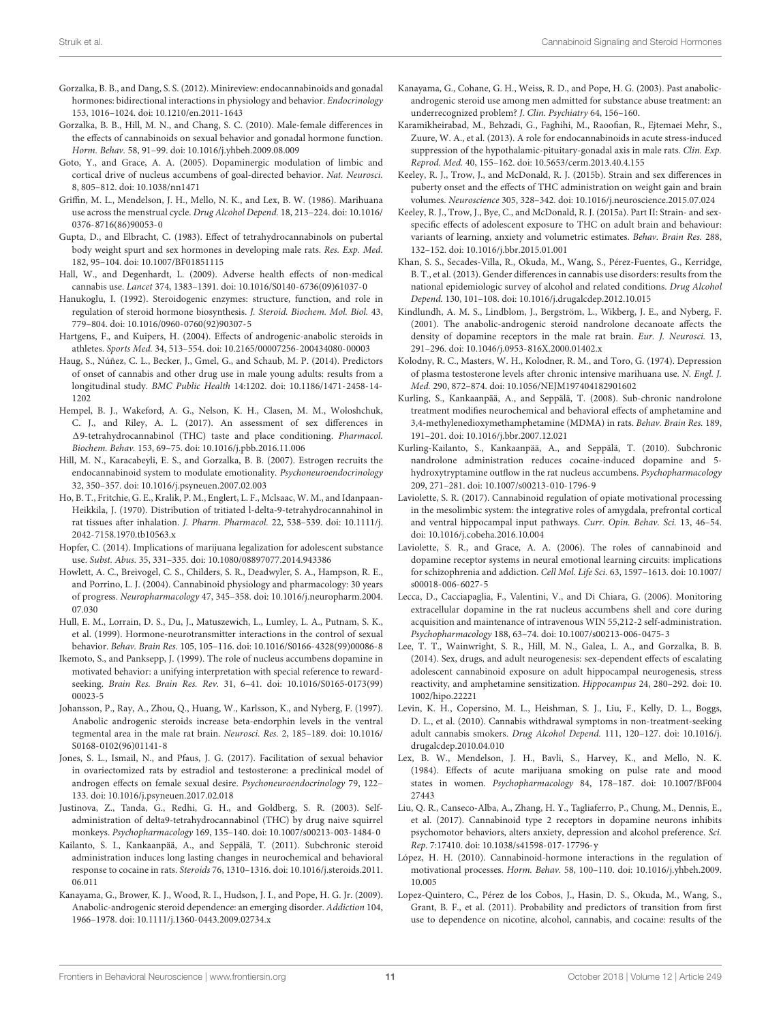- <span id="page-10-15"></span>Gorzalka, B. B., and Dang, S. S. (2012). Minireview: endocannabinoids and gonadal hormones: bidirectional interactions in physiology and behavior. Endocrinology 153, 1016–1024. [doi: 10.1210/en.2011-1643](https://doi.org/10.1210/en.2011-1643)
- <span id="page-10-14"></span>Gorzalka, B. B., Hill, M. N., and Chang, S. C. (2010). Male-female differences in the effects of cannabinoids on sexual behavior and gonadal hormone function. Horm. Behav. 58, 91–99. [doi: 10.1016/j.yhbeh.2009.08.009](https://doi.org/10.1016/j.yhbeh.2009.08.009)
- <span id="page-10-26"></span>Goto, Y., and Grace, A. A. (2005). Dopaminergic modulation of limbic and cortical drive of nucleus accumbens of goal-directed behavior. Nat. Neurosci. 8, 805–812. [doi: 10.1038/nn1471](https://doi.org/10.1038/nn1471)
- <span id="page-10-23"></span>Griffin, M. L., Mendelson, J. H., Mello, N. K., and Lex, B. W. (1986). Marihuana use across the menstrual cycle. Drug Alcohol Depend. 18, 213–224. [doi: 10.1016/](https://doi.org/10.1016/0376-8716(86)90053-0) [0376-8716\(86\)90053-0](https://doi.org/10.1016/0376-8716(86)90053-0)
- <span id="page-10-17"></span>Gupta, D., and Elbracht, C. (1983). Effect of tetrahydrocannabinols on pubertal body weight spurt and sex hormones in developing male rats. Res. Exp. Med. 182, 95–104. [doi: 10.1007/BF01851115](https://doi.org/10.1007/BF01851115)
- <span id="page-10-1"></span>Hall, W., and Degenhardt, L. (2009). Adverse health effects of non-medical cannabis use. Lancet 374, 1383–1391. [doi: 10.1016/S0140-6736\(09\)61037-0](https://doi.org/10.1016/S0140-6736(09)61037-0)
- <span id="page-10-7"></span>Hanukoglu, I. (1992). Steroidogenic enzymes: structure, function, and role in regulation of steroid hormone biosynthesis. J. Steroid. Biochem. Mol. Biol. 43, 779–804. [doi: 10.1016/0960-0760\(92\)90307-5](https://doi.org/10.1016/0960-0760(92)90307-5)
- <span id="page-10-31"></span>Hartgens, F., and Kuipers, H. (2004). Effects of androgenic-anabolic steroids in athletes. Sports Med. 34, 513–554. [doi: 10.2165/00007256-200434080-00003](https://doi.org/10.2165/00007256-200434080-00003)
- <span id="page-10-4"></span>Haug, S., Núñez, C. L., Becker, J., Gmel, G., and Schaub, M. P. (2014). Predictors of onset of cannabis and other drug use in male young adults: results from a longitudinal study. BMC Public Health 14:1202. [doi: 10.1186/1471-2458-14-](https://doi.org/10.1186/1471-2458-14-1202) [1202](https://doi.org/10.1186/1471-2458-14-1202)
- <span id="page-10-22"></span>Hempel, B. J., Wakeford, A. G., Nelson, K. H., Clasen, M. M., Woloshchuk, C. J., and Riley, A. L. (2017). An assessment of sex differences in 19-tetrahydrocannabinol (THC) taste and place conditioning. Pharmacol. Biochem. Behav. 153, 69–75. [doi: 10.1016/j.pbb.2016.11.006](https://doi.org/10.1016/j.pbb.2016.11.006)
- <span id="page-10-16"></span>Hill, M. N., Karacabeyli, E. S., and Gorzalka, B. B. (2007). Estrogen recruits the endocannabinoid system to modulate emotionality. Psychoneuroendocrinology 32, 350–357. [doi: 10.1016/j.psyneuen.2007.02.003](https://doi.org/10.1016/j.psyneuen.2007.02.003)
- <span id="page-10-11"></span>Ho, B. T., Fritchie, G. E., Kralik, P. M., Englert, L. F., Mclsaac, W. M., and Idanpaan-Heikkila, J. (1970). Distribution of tritiated l-delta-9-tetrahydrocannahinol in rat tissues after inhalation. J. Pharm. Pharmacol. 22, 538–539. [doi: 10.1111/j.](https://doi.org/10.1111/j.2042-7158.1970.tb10563.x) [2042-7158.1970.tb10563.x](https://doi.org/10.1111/j.2042-7158.1970.tb10563.x)
- <span id="page-10-0"></span>Hopfer, C. (2014). Implications of marijuana legalization for adolescent substance use. Subst. Abus. 35, 331–335. [doi: 10.1080/08897077.2014.943386](https://doi.org/10.1080/08897077.2014.943386)
- <span id="page-10-13"></span>Howlett, A. C., Breivogel, C. S., Childers, S. R., Deadwyler, S. A., Hampson, R. E., and Porrino, L. J. (2004). Cannabinoid physiology and pharmacology: 30 years of progress. Neuropharmacology 47, 345–358. [doi: 10.1016/j.neuropharm.2004.](https://doi.org/10.1016/j.neuropharm.2004.07.030) [07.030](https://doi.org/10.1016/j.neuropharm.2004.07.030)
- <span id="page-10-6"></span>Hull, E. M., Lorrain, D. S., Du, J., Matuszewich, L., Lumley, L. A., Putnam, S. K., et al. (1999). Hormone-neurotransmitter interactions in the control of sexual behavior. Behav. Brain Res. 105, 105–116. [doi: 10.1016/S0166-4328\(99\)00086-8](https://doi.org/10.1016/S0166-4328(99)00086-8)
- <span id="page-10-25"></span>Ikemoto, S., and Panksepp, J. (1999). The role of nucleus accumbens dopamine in motivated behavior: a unifying interpretation with special reference to rewardseeking. Brain Res. Brain Res. Rev. 31, 6–41. [doi: 10.1016/S0165-0173\(99\)](https://doi.org/10.1016/S0165-0173(99)00023-5) [00023-5](https://doi.org/10.1016/S0165-0173(99)00023-5)
- <span id="page-10-34"></span>Johansson, P., Ray, A., Zhou, Q., Huang, W., Karlsson, K., and Nyberg, F. (1997). Anabolic androgenic steroids increase beta-endorphin levels in the ventral tegmental area in the male rat brain. Neurosci. Res. 2, 185–189. [doi: 10.1016/](https://doi.org/10.1016/S0168-0102(96)01141-8) [S0168-0102\(96\)01141-8](https://doi.org/10.1016/S0168-0102(96)01141-8)
- <span id="page-10-10"></span>Jones, S. L., Ismail, N., and Pfaus, J. G. (2017). Facilitation of sexual behavior in ovariectomized rats by estradiol and testosterone: a preclinical model of androgen effects on female sexual desire. Psychoneuroendocrinology 79, 122– 133. [doi: 10.1016/j.psyneuen.2017.02.018](https://doi.org/10.1016/j.psyneuen.2017.02.018)
- <span id="page-10-21"></span>Justinova, Z., Tanda, G., Redhi, G. H., and Goldberg, S. R. (2003). Selfadministration of delta9-tetrahydrocannabinol (THC) by drug naive squirrel monkeys. Psychopharmacology 169, 135–140. [doi: 10.1007/s00213-003-1484-0](https://doi.org/10.1007/s00213-003-1484-0)
- <span id="page-10-38"></span>Kailanto, S. I., Kankaanpää, A., and Seppälä, T. (2011). Subchronic steroid administration induces long lasting changes in neurochemical and behavioral response to cocaine in rats. Steroids 76, 1310–1316. [doi: 10.1016/j.steroids.2011.](https://doi.org/10.1016/j.steroids.2011.06.011) [06.011](https://doi.org/10.1016/j.steroids.2011.06.011)
- <span id="page-10-33"></span>Kanayama, G., Brower, K. J., Wood, R. I., Hudson, J. I., and Pope, H. G. Jr. (2009). Anabolic-androgenic steroid dependence: an emerging disorder. Addiction 104, 1966–1978. [doi: 10.1111/j.1360-0443.2009.02734.x](https://doi.org/10.1111/j.1360-0443.2009.02734.x)
- <span id="page-10-32"></span>Kanayama, G., Cohane, G. H., Weiss, R. D., and Pope, H. G. (2003). Past anabolicandrogenic steroid use among men admitted for substance abuse treatment: an underrecognized problem? J. Clin. Psychiatry 64, 156–160.
- <span id="page-10-8"></span>Karamikheirabad, M., Behzadi, G., Faghihi, M., Raoofian, R., Ejtemaei Mehr, S., Zuure, W. A., et al. (2013). A role for endocannabinoids in acute stress-induced suppression of the hypothalamic-pituitary-gonadal axis in male rats. Clin. Exp. Reprod. Med. 40, 155–162. [doi: 10.5653/cerm.2013.40.4.155](https://doi.org/10.5653/cerm.2013.40.4.155)
- <span id="page-10-20"></span>Keeley, R. J., Trow, J., and McDonald, R. J. (2015b). Strain and sex differences in puberty onset and the effects of THC administration on weight gain and brain volumes. Neuroscience 305, 328–342. [doi: 10.1016/j.neuroscience.2015.07.024](https://doi.org/10.1016/j.neuroscience.2015.07.024)
- <span id="page-10-19"></span>Keeley, R. J., Trow, J., Bye, C., and McDonald, R. J. (2015a). Part II: Strain- and sexspecific effects of adolescent exposure to THC on adult brain and behaviour: variants of learning, anxiety and volumetric estimates. Behav. Brain Res. 288, 132–152. [doi: 10.1016/j.bbr.2015.01.001](https://doi.org/10.1016/j.bbr.2015.01.001)
- <span id="page-10-3"></span>Khan, S. S., Secades-Villa, R., Okuda, M., Wang, S., Pérez-Fuentes, G., Kerridge, B. T., et al. (2013). Gender differences in cannabis use disorders: results from the national epidemiologic survey of alcohol and related conditions. Drug Alcohol Depend. 130, 101–108. [doi: 10.1016/j.drugalcdep.2012.10.015](https://doi.org/10.1016/j.drugalcdep.2012.10.015)
- <span id="page-10-35"></span>Kindlundh, A. M. S., Lindblom, J., Bergström, L., Wikberg, J. E., and Nyberg, F. (2001). The anabolic-androgenic steroid nandrolone decanoate affects the density of dopamine receptors in the male rat brain. Eur. J. Neurosci. 13, 291–296. [doi: 10.1046/j.0953-816X.2000.01402.x](https://doi.org/10.1046/j.0953-816X.2000.01402.x)
- <span id="page-10-12"></span>Kolodny, R. C., Masters, W. H., Kolodner, R. M., and Toro, G. (1974). Depression of plasma testosterone levels after chronic intensive marihuana use. N. Engl. J. Med. 290, 872–874. [doi: 10.1056/NEJM197404182901602](https://doi.org/10.1056/NEJM197404182901602)
- <span id="page-10-36"></span>Kurling, S., Kankaanpää, A., and Seppälä, T. (2008). Sub-chronic nandrolone treatment modifies neurochemical and behavioral effects of amphetamine and 3,4-methylenedioxymethamphetamine (MDMA) in rats. Behav. Brain Res. 189, 191–201. [doi: 10.1016/j.bbr.2007.12.021](https://doi.org/10.1016/j.bbr.2007.12.021)
- <span id="page-10-37"></span>Kurling-Kailanto, S., Kankaanpää, A., and Seppälä, T. (2010). Subchronic nandrolone administration reduces cocaine-induced dopamine and 5 hydroxytryptamine outflow in the rat nucleus accumbens. Psychopharmacology 209, 271–281. [doi: 10.1007/s00213-010-1796-9](https://doi.org/10.1007/s00213-010-1796-9)
- <span id="page-10-29"></span>Laviolette, S. R. (2017). Cannabinoid regulation of opiate motivational processing in the mesolimbic system: the integrative roles of amygdala, prefrontal cortical and ventral hippocampal input pathways. Curr. Opin. Behav. Sci. 13, 46–54. [doi: 10.1016/j.cobeha.2016.10.004](https://doi.org/10.1016/j.cobeha.2016.10.004)
- <span id="page-10-28"></span>Laviolette, S. R., and Grace, A. A. (2006). The roles of cannabinoid and dopamine receptor systems in neural emotional learning circuits: implications for schizophrenia and addiction. Cell Mol. Life Sci. 63, 1597–1613. [doi: 10.1007/](https://doi.org/10.1007/s00018-006-6027-5) [s00018-006-6027-5](https://doi.org/10.1007/s00018-006-6027-5)
- <span id="page-10-27"></span>Lecca, D., Cacciapaglia, F., Valentini, V., and Di Chiara, G. (2006). Monitoring extracellular dopamine in the rat nucleus accumbens shell and core during acquisition and maintenance of intravenous WIN 55,212-2 self-administration. Psychopharmacology 188, 63–74. [doi: 10.1007/s00213-006-0475-3](https://doi.org/10.1007/s00213-006-0475-3)
- <span id="page-10-18"></span>Lee, T. T., Wainwright, S. R., Hill, M. N., Galea, L. A., and Gorzalka, B. B. (2014). Sex, drugs, and adult neurogenesis: sex-dependent effects of escalating adolescent cannabinoid exposure on adult hippocampal neurogenesis, stress reactivity, and amphetamine sensitization. Hippocampus 24, 280–292. [doi: 10.](https://doi.org/10.1002/hipo.22221) [1002/hipo.22221](https://doi.org/10.1002/hipo.22221)
- <span id="page-10-5"></span>Levin, K. H., Copersino, M. L., Heishman, S. J., Liu, F., Kelly, D. L., Boggs, D. L., et al. (2010). Cannabis withdrawal symptoms in non-treatment-seeking adult cannabis smokers. Drug Alcohol Depend. 111, 120–127. [doi: 10.1016/j.](https://doi.org/10.1016/j.drugalcdep.2010.04.010) [drugalcdep.2010.04.010](https://doi.org/10.1016/j.drugalcdep.2010.04.010)
- <span id="page-10-24"></span>Lex, B. W., Mendelson, J. H., Bavli, S., Harvey, K., and Mello, N. K. (1984). Effects of acute marijuana smoking on pulse rate and mood states in women. Psychopharmacology 84, 178–187. [doi: 10.1007/BF004](https://doi.org/10.1007/BF00427443) [27443](https://doi.org/10.1007/BF00427443)
- <span id="page-10-30"></span>Liu, Q. R., Canseco-Alba, A., Zhang, H. Y., Tagliaferro, P., Chung, M., Dennis, E., et al. (2017). Cannabinoid type 2 receptors in dopamine neurons inhibits psychomotor behaviors, alters anxiety, depression and alcohol preference. Sci. Rep. 7:17410. [doi: 10.1038/s41598-017-17796-y](https://doi.org/10.1038/s41598-017-17796-y)
- <span id="page-10-9"></span>López, H. H. (2010). Cannabinoid-hormone interactions in the regulation of motivational processes. Horm. Behav. 58, 100–110. [doi: 10.1016/j.yhbeh.2009.](https://doi.org/10.1016/j.yhbeh.2009.10.005) [10.005](https://doi.org/10.1016/j.yhbeh.2009.10.005)
- <span id="page-10-2"></span>Lopez-Quintero, C., Pérez de los Cobos, J., Hasin, D. S., Okuda, M., Wang, S., Grant, B. F., et al. (2011). Probability and predictors of transition from first use to dependence on nicotine, alcohol, cannabis, and cocaine: results of the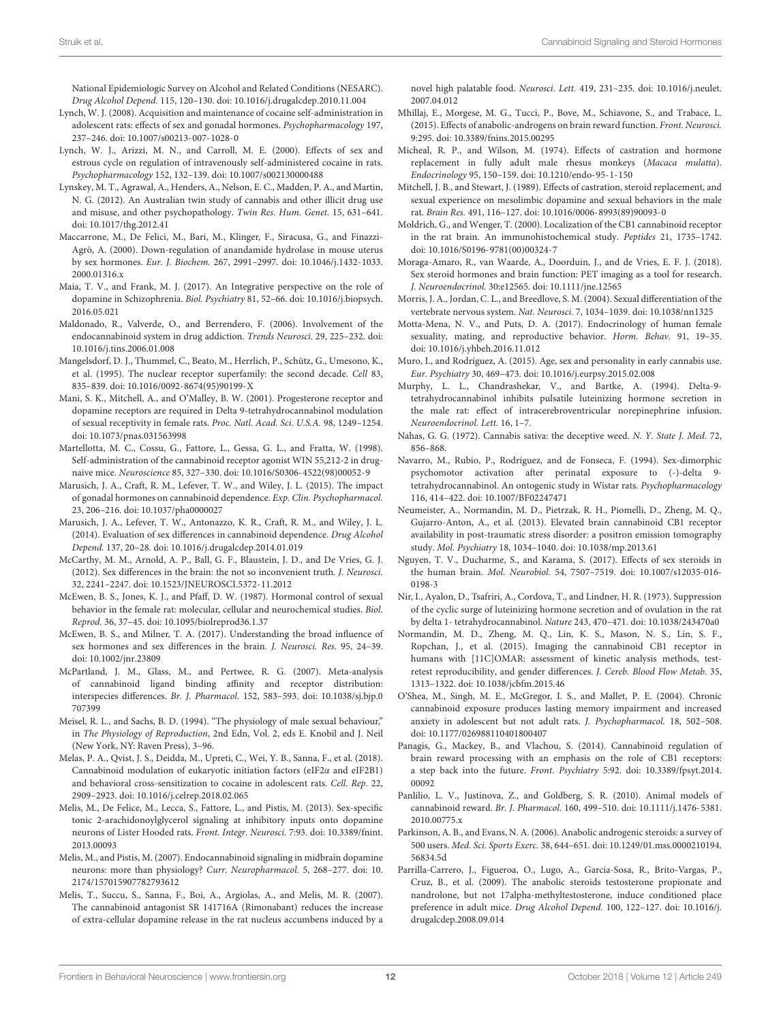National Epidemiologic Survey on Alcohol and Related Conditions (NESARC). Drug Alcohol Depend. 115, 120–130. [doi: 10.1016/j.drugalcdep.2010.11.004](https://doi.org/10.1016/j.drugalcdep.2010.11.004)

- <span id="page-11-31"></span>Lynch, W. J. (2008). Acquisition and maintenance of cocaine self-administration in adolescent rats: effects of sex and gonadal hormones. Psychopharmacology 197, 237–246. [doi: 10.1007/s00213-007-1028-0](https://doi.org/10.1007/s00213-007-1028-0)
- <span id="page-11-30"></span>Lynch, W. J., Arizzi, M. N., and Carroll, M. E. (2000). Effects of sex and estrous cycle on regulation of intravenously self-administered cocaine in rats. Psychopharmacology 152, 132–139. [doi: 10.1007/s002130000488](https://doi.org/10.1007/s002130000488)
- <span id="page-11-1"></span>Lynskey, M. T., Agrawal, A., Henders, A., Nelson, E. C., Madden, P. A., and Martin, N. G. (2012). An Australian twin study of cannabis and other illicit drug use and misuse, and other psychopathology. Twin Res. Hum. Genet. 15, 631–641. [doi: 10.1017/thg.2012.41](https://doi.org/10.1017/thg.2012.41)
- <span id="page-11-15"></span>Maccarrone, M., De Felici, M., Bari, M., Klinger, F., Siracusa, G., and Finazzi-Agrò, A. (2000). Down-regulation of anandamide hydrolase in mouse uterus by sex hormones. Eur. J. Biochem. 267, 2991–2997. [doi: 10.1046/j.1432-1033.](https://doi.org/10.1046/j.1432-1033.2000.01316.x) [2000.01316.x](https://doi.org/10.1046/j.1432-1033.2000.01316.x)
- <span id="page-11-33"></span>Maia, T. V., and Frank, M. J. (2017). An Integrative perspective on the role of dopamine in Schizophrenia. Biol. Psychiatry 81, 52–66. [doi: 10.1016/j.biopsych.](https://doi.org/10.1016/j.biopsych.2016.05.021) [2016.05.021](https://doi.org/10.1016/j.biopsych.2016.05.021)
- <span id="page-11-36"></span>Maldonado, R., Valverde, O., and Berrendero, F. (2006). Involvement of the endocannabinoid system in drug addiction. Trends Neurosci. 29, 225–232. [doi:](https://doi.org/10.1016/j.tins.2006.01.008) [10.1016/j.tins.2006.01.008](https://doi.org/10.1016/j.tins.2006.01.008)
- <span id="page-11-8"></span>Mangelsdorf, D. J., Thummel, C., Beato, M., Herrlich, P., Schütz, G., Umesono, K., et al. (1995). The nuclear receptor superfamily: the second decade. Cell 83, 835–839. [doi: 10.1016/0092-8674\(95\)90199-X](https://doi.org/10.1016/0092-8674(95)90199-X)
- <span id="page-11-16"></span>Mani, S. K., Mitchell, A., and O'Malley, B. W. (2001). Progesterone receptor and dopamine receptors are required in Delta 9-tetrahydrocannabinol modulation of sexual receptivity in female rats. Proc. Natl. Acad. Sci. U.S.A. 98, 1249–1254. [doi: 10.1073/pnas.031563998](https://doi.org/10.1073/pnas.031563998)
- <span id="page-11-29"></span>Martellotta, M. C., Cossu, G., Fattore, L., Gessa, G. L., and Fratta, W. (1998). Self-administration of the cannabinoid receptor agonist WIN 55,212-2 in drugnaive mice. Neuroscience 85, 327–330. [doi: 10.1016/S0306-4522\(98\)00052-9](https://doi.org/10.1016/S0306-4522(98)00052-9)
- <span id="page-11-3"></span>Marusich, J. A., Craft, R. M., Lefever, T. W., and Wiley, J. L. (2015). The impact of gonadal hormones on cannabinoid dependence. Exp. Clin. Psychopharmacol. 23, 206–216. [doi: 10.1037/pha0000027](https://doi.org/10.1037/pha0000027)
- <span id="page-11-24"></span>Marusich, J. A., Lefever, T. W., Antonazzo, K. R., Craft, R. M., and Wiley, J. L. (2014). Evaluation of sex differences in cannabinoid dependence. Drug Alcohol Depend. 137, 20–28. [doi: 10.1016/j.drugalcdep.2014.01.019](https://doi.org/10.1016/j.drugalcdep.2014.01.019)
- <span id="page-11-9"></span>McCarthy, M. M., Arnold, A. P., Ball, G. F., Blaustein, J. D., and De Vries, G. J. (2012). Sex differences in the brain: the not so inconvenient truth. J. Neurosci. 32, 2241–2247. [doi: 10.1523/JNEUROSCI.5372-11.2012](https://doi.org/10.1523/JNEUROSCI.5372-11.2012)
- <span id="page-11-4"></span>McEwen, B. S., Jones, K. J., and Pfaff, D. W. (1987). Hormonal control of sexual behavior in the female rat: molecular, cellular and neurochemical studies. Biol. Reprod. 36, 37–45. [doi: 10.1095/biolreprod36.1.37](https://doi.org/10.1095/biolreprod36.1.37)
- <span id="page-11-12"></span>McEwen, B. S., and Milner, T. A. (2017). Understanding the broad influence of sex hormones and sex differences in the brain. J. Neurosci. Res. 95, 24–39. [doi: 10.1002/jnr.23809](https://doi.org/10.1002/jnr.23809)
- <span id="page-11-18"></span>McPartland, J. M., Glass, M., and Pertwee, R. G. (2007). Meta-analysis of cannabinoid ligand binding affinity and receptor distribution: interspecies differences. Br. J. Pharmacol. 152, 583–593. [doi: 10.1038/sj.bjp.0](https://doi.org/10.1038/sj.bjp.0707399) [707399](https://doi.org/10.1038/sj.bjp.0707399)
- <span id="page-11-5"></span>Meisel, R. L., and Sachs, B. D. (1994). "The physiology of male sexual behaviour," in The Physiology of Reproduction, 2nd Edn, Vol. 2, eds E. Knobil and J. Neil (New York, NY: Raven Press), 3–96.
- <span id="page-11-27"></span>Melas, P. A., Qvist, J. S., Deidda, M., Upreti, C., Wei, Y. B., Sanna, F., et al. (2018). Cannabinoid modulation of eukaryotic initiation factors (eIF2α and eIF2B1) and behavioral cross-sensitization to cocaine in adolescent rats. Cell. Rep. 22, 2909–2923. [doi: 10.1016/j.celrep.2018.02.065](https://doi.org/10.1016/j.celrep.2018.02.065)
- <span id="page-11-19"></span>Melis, M., De Felice, M., Lecca, S., Fattore, L., and Pistis, M. (2013). Sex-specific tonic 2-arachidonoylglycerol signaling at inhibitory inputs onto dopamine neurons of Lister Hooded rats. Front. Integr. Neurosci. 7:93. [doi: 10.3389/fnint.](https://doi.org/10.3389/fnint.2013.00093) [2013.00093](https://doi.org/10.3389/fnint.2013.00093)
- <span id="page-11-34"></span>Melis, M., and Pistis, M. (2007). Endocannabinoid signaling in midbrain dopamine neurons: more than physiology? Curr. Neuropharmacol. 5, 268–277. [doi: 10.](https://doi.org/10.2174/157015907782793612) [2174/157015907782793612](https://doi.org/10.2174/157015907782793612)
- <span id="page-11-32"></span>Melis, T., Succu, S., Sanna, F., Boi, A., Argiolas, A., and Melis, M. R. (2007). The cannabinoid antagonist SR 141716A (Rimonabant) reduces the increase of extra-cellular dopamine release in the rat nucleus accumbens induced by a

novel high palatable food. Neurosci. Lett. 419, 231–235. [doi: 10.1016/j.neulet.](https://doi.org/10.1016/j.neulet.2007.04.012) [2007.04.012](https://doi.org/10.1016/j.neulet.2007.04.012)

- <span id="page-11-39"></span>Mhillaj, E., Morgese, M. G., Tucci, P., Bove, M., Schiavone, S., and Trabace, L. (2015). Effects of anabolic-androgens on brain reward function. Front. Neurosci. 9:295. [doi: 10.3389/fnins.2015.00295](https://doi.org/10.3389/fnins.2015.00295)
- <span id="page-11-10"></span>Micheal, R. P., and Wilson, M. (1974). Effects of castration and hormone replacement in fully adult male rhesus monkeys (Macaca mulatta). Endocrinology 95, 150–159. [doi: 10.1210/endo-95-1-150](https://doi.org/10.1210/endo-95-1-150)
- <span id="page-11-11"></span>Mitchell, J. B., and Stewart, J. (1989). Effects of castration, steroid replacement, and sexual experience on mesolimbic dopamine and sexual behaviors in the male rat. Brain Res. 491, 116–127. [doi: 10.1016/0006-8993\(89\)90093-0](https://doi.org/10.1016/0006-8993(89)90093-0)
- <span id="page-11-17"></span>Moldrich, G., and Wenger, T. (2000). Localization of the CB1 cannabinoid receptor in the rat brain. An immunohistochemical study. Peptides 21, 1735–1742. [doi: 10.1016/S0196-9781\(00\)00324-7](https://doi.org/10.1016/S0196-9781(00)00324-7)
- <span id="page-11-21"></span>Moraga-Amaro, R., van Waarde, A., Doorduin, J., and de Vries, E. F. J. (2018). Sex steroid hormones and brain function: PET imaging as a tool for research. J. Neuroendocrinol. 30:e12565. [doi: 10.1111/jne.12565](https://doi.org/10.1111/jne.12565)
- <span id="page-11-6"></span>Morris, J. A., Jordan, C. L., and Breedlove, S. M. (2004). Sexual differentiation of the vertebrate nervous system. Nat. Neurosci. 7, 1034–1039. [doi: 10.1038/nn1325](https://doi.org/10.1038/nn1325)
- <span id="page-11-7"></span>Motta-Mena, N. V., and Puts, D. A. (2017). Endocrinology of human female sexuality, mating, and reproductive behavior. Horm. Behav. 91, 19–35. [doi: 10.1016/j.yhbeh.2016.11.012](https://doi.org/10.1016/j.yhbeh.2016.11.012)
- <span id="page-11-2"></span>Muro, I., and Rodríguez, A. (2015). Age, sex and personality in early cannabis use. Eur. Psychiatry 30, 469–473. [doi: 10.1016/j.eurpsy.2015.02.008](https://doi.org/10.1016/j.eurpsy.2015.02.008)
- <span id="page-11-14"></span>Murphy, L. L., Chandrashekar, V., and Bartke, A. (1994). Delta-9 tetrahydrocannabinol inhibits pulsatile luteinizing hormone secretion in the male rat: effect of intracerebroventricular norepinephrine infusion. Neuroendocrinol. Lett. 16, 1–7.
- <span id="page-11-0"></span>Nahas, G. G. (1972). Cannabis sativa: the deceptive weed. N. Y. State J. Med. 72, 856–868.
- <span id="page-11-26"></span>Navarro, M., Rubio, P., Rodríguez, and de Fonseca, F. (1994). Sex-dimorphic psychomotor activation after perinatal exposure to (-)-delta 9 tetrahydrocannabinol. An ontogenic study in Wistar rats. Psychopharmacology 116, 414–422. [doi: 10.1007/BF02247471](https://doi.org/10.1007/BF02247471)
- <span id="page-11-22"></span>Neumeister, A., Normandin, M. D., Pietrzak, R. H., Piomelli, D., Zheng, M. Q., Gujarro-Anton, A., et al. (2013). Elevated brain cannabinoid CB1 receptor availability in post-traumatic stress disorder: a positron emission tomography study. Mol. Psychiatry 18, 1034–1040. [doi: 10.1038/mp.2013.61](https://doi.org/10.1038/mp.2013.61)
- <span id="page-11-20"></span>Nguyen, T. V., Ducharme, S., and Karama, S. (2017). Effects of sex steroids in the human brain. Mol. Neurobiol. 54, 7507–7519. [doi: 10.1007/s12035-016-](https://doi.org/10.1007/s12035-016-0198-3) [0198-3](https://doi.org/10.1007/s12035-016-0198-3)
- <span id="page-11-13"></span>Nir, I., Ayalon, D., Tsafriri, A., Cordova, T., and Lindner, H. R. (1973). Suppression of the cyclic surge of luteinizing hormone secretion and of ovulation in the rat by delta 1- tetrahydrocannabinol. Nature 243, 470–471. [doi: 10.1038/243470a0](https://doi.org/10.1038/243470a0)
- <span id="page-11-23"></span>Normandin, M. D., Zheng, M. Q., Lin, K. S., Mason, N. S., Lin, S. F., Ropchan, J., et al. (2015). Imaging the cannabinoid CB1 receptor in humans with [11C]OMAR: assessment of kinetic analysis methods, testretest reproducibility, and gender differences. J. Cereb. Blood Flow Metab. 35, 1313–1322. [doi: 10.1038/jcbfm.2015.46](https://doi.org/10.1038/jcbfm.2015.46)
- <span id="page-11-25"></span>O'Shea, M., Singh, M. E., McGregor, I. S., and Mallet, P. E. (2004). Chronic cannabinoid exposure produces lasting memory impairment and increased anxiety in adolescent but not adult rats. J. Psychopharmacol. 18, 502–508. [doi: 10.1177/026988110401800407](https://doi.org/10.1177/026988110401800407)
- <span id="page-11-35"></span>Panagis, G., Mackey, B., and Vlachou, S. (2014). Cannabinoid regulation of brain reward processing with an emphasis on the role of CB1 receptors: a step back into the future. Front. Psychiatry 5:92. [doi: 10.3389/fpsyt.2014.](https://doi.org/10.3389/fpsyt.2014.00092) [00092](https://doi.org/10.3389/fpsyt.2014.00092)
- <span id="page-11-28"></span>Panlilio, L. V., Justinova, Z., and Goldberg, S. R. (2010). Animal models of cannabinoid reward. Br. J. Pharmacol. 160, 499–510. [doi: 10.1111/j.1476-5381.](https://doi.org/10.1111/j.1476-5381.2010.00775.x) [2010.00775.x](https://doi.org/10.1111/j.1476-5381.2010.00775.x)
- <span id="page-11-37"></span>Parkinson, A. B., and Evans, N. A. (2006). Anabolic androgenic steroids: a survey of 500 users. Med. Sci. Sports Exerc. 38, 644–651. [doi: 10.1249/01.mss.0000210194.](https://doi.org/10.1249/01.mss.0000210194.56834.5d) [56834.5d](https://doi.org/10.1249/01.mss.0000210194.56834.5d)
- <span id="page-11-38"></span>Parrilla-Carrero, J., Figueroa, O., Lugo, A., García-Sosa, R., Brito-Vargas, P., Cruz, B., et al. (2009). The anabolic steroids testosterone propionate and nandrolone, but not 17alpha-methyltestosterone, induce conditioned place preference in adult mice. Drug Alcohol Depend. 100, 122–127. [doi: 10.1016/j.](https://doi.org/10.1016/j.drugalcdep.2008.09.014) [drugalcdep.2008.09.014](https://doi.org/10.1016/j.drugalcdep.2008.09.014)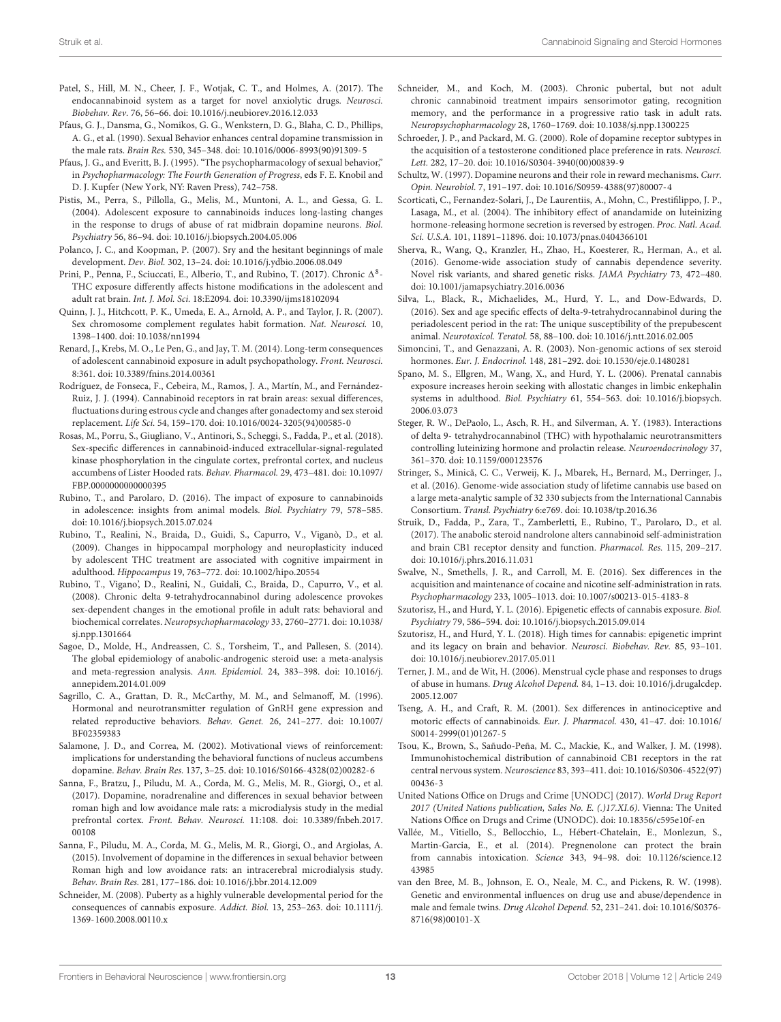- <span id="page-12-14"></span>Patel, S., Hill, M. N., Cheer, J. F., Wotjak, C. T., and Holmes, A. (2017). The endocannabinoid system as a target for novel anxiolytic drugs. Neurosci. Biobehav. Rev. 76, 56–66. [doi: 10.1016/j.neubiorev.2016.12.033](https://doi.org/10.1016/j.neubiorev.2016.12.033)
- <span id="page-12-32"></span>Pfaus, G. J., Dansma, G., Nomikos, G. G., Wenkstern, D. G., Blaha, C. D., Phillips, A. G., et al. (1990). Sexual Behavior enhances central dopamine transmission in the male rats. Brain Res. 530, 345–348. [doi: 10.1016/0006-8993\(90\)91309-5](https://doi.org/10.1016/0006-8993(90)91309-5)
- <span id="page-12-33"></span>Pfaus, J. G., and Everitt, B. J. (1995). "The psychopharmacology of sexual behavior," in Psychopharmacology: The Fourth Generation of Progress, eds F. E. Knobil and D. J. Kupfer (New York, NY: Raven Press), 742–758.
- <span id="page-12-22"></span>Pistis, M., Perra, S., Pillolla, G., Melis, M., Muntoni, A. L., and Gessa, G. L. (2004). Adolescent exposure to cannabinoids induces long-lasting changes in the response to drugs of abuse of rat midbrain dopamine neurons. Biol. Psychiatry 56, 86–94. [doi: 10.1016/j.biopsych.2004.05.006](https://doi.org/10.1016/j.biopsych.2004.05.006)
- <span id="page-12-6"></span>Polanco, J. C., and Koopman, P. (2007). Sry and the hesitant beginnings of male development. Dev. Biol. 302, 13–24. [doi: 10.1016/j.ydbio.2006.08.049](https://doi.org/10.1016/j.ydbio.2006.08.049)
- <span id="page-12-27"></span>Prini, P., Penna, F., Sciuccati, E., Alberio, T., and Rubino, T. (2017). Chronic  $\Delta^8$ -THC exposure differently affects histone modifications in the adolescent and adult rat brain. Int. J. Mol. Sci. 18:E2094. [doi: 10.3390/ijms18102094](https://doi.org/10.3390/ijms18102094)
- <span id="page-12-5"></span>Quinn, J. J., Hitchcott, P. K., Umeda, E. A., Arnold, A. P., and Taylor, J. R. (2007). Sex chromosome complement regulates habit formation. Nat. Neurosci. 10, 1398–1400. [doi: 10.1038/nn1994](https://doi.org/10.1038/nn1994)
- <span id="page-12-24"></span>Renard, J., Krebs, M. O., Le Pen, G., and Jay, T. M. (2014). Long-term consequences of adolescent cannabinoid exposure in adult psychopathology. Front. Neurosci. 8:361. [doi: 10.3389/fnins.2014.00361](https://doi.org/10.3389/fnins.2014.00361)
- <span id="page-12-13"></span>Rodríguez, de Fonseca, F., Cebeira, M., Ramos, J. A., Martín, M., and Fernández-Ruiz, J. J. (1994). Cannabinoid receptors in rat brain areas: sexual differences, fluctuations during estrous cycle and changes after gonadectomy and sex steroid replacement. Life Sci. 54, 159–170. [doi: 10.1016/0024-3205\(94\)00585-0](https://doi.org/10.1016/0024-3205(94)00585-0)
- <span id="page-12-36"></span>Rosas, M., Porru, S., Giugliano, V., Antinori, S., Scheggi, S., Fadda, P., et al. (2018). Sex-specific differences in cannabinoid-induced extracellular-signal-regulated kinase phosphorylation in the cingulate cortex, prefrontal cortex, and nucleus accumbens of Lister Hooded rats. Behav. Pharmacol. 29, 473–481. [doi: 10.1097/](https://doi.org/10.1097/FBP.0000000000000395) [FBP.0000000000000395](https://doi.org/10.1097/FBP.0000000000000395)
- <span id="page-12-18"></span>Rubino, T., and Parolaro, D. (2016). The impact of exposure to cannabinoids in adolescence: insights from animal models. Biol. Psychiatry 79, 578–585. [doi: 10.1016/j.biopsych.2015.07.024](https://doi.org/10.1016/j.biopsych.2015.07.024)
- <span id="page-12-20"></span>Rubino, T., Realini, N., Braida, D., Guidi, S., Capurro, V., Viganò, D., et al. (2009). Changes in hippocampal morphology and neuroplasticity induced by adolescent THC treatment are associated with cognitive impairment in adulthood. Hippocampus 19, 763–772. [doi: 10.1002/hipo.20554](https://doi.org/10.1002/hipo.20554)
- <span id="page-12-21"></span>Rubino, T., Vigano', D., Realini, N., Guidali, C., Braida, D., Capurro, V., et al. (2008). Chronic delta 9-tetrahydrocannabinol during adolescence provokes sex-dependent changes in the emotional profile in adult rats: behavioral and biochemical correlates. Neuropsychopharmacology 33, 2760–2771. [doi: 10.1038/](https://doi.org/10.1038/sj.npp.1301664) [sj.npp.1301664](https://doi.org/10.1038/sj.npp.1301664)
- <span id="page-12-37"></span>Sagoe, D., Molde, H., Andreassen, C. S., Torsheim, T., and Pallesen, S. (2014). The global epidemiology of anabolic-androgenic steroid use: a meta-analysis and meta-regression analysis. Ann. Epidemiol. 24, 383–398. [doi: 10.1016/j.](https://doi.org/10.1016/j.annepidem.2014.01.009) [annepidem.2014.01.009](https://doi.org/10.1016/j.annepidem.2014.01.009)
- <span id="page-12-8"></span>Sagrillo, C. A., Grattan, D. R., McCarthy, M. M., and Selmanoff, M. (1996). Hormonal and neurotransmitter regulation of GnRH gene expression and related reproductive behaviors. Behav. Genet. 26, 241–277. [doi: 10.1007/](https://doi.org/10.1007/BF02359383) [BF02359383](https://doi.org/10.1007/BF02359383)
- <span id="page-12-31"></span>Salamone, J. D., and Correa, M. (2002). Motivational views of reinforcement: implications for understanding the behavioral functions of nucleus accumbens dopamine. Behav. Brain Res. 137, 3–25. [doi: 10.1016/S0166-4328\(02\)00282-6](https://doi.org/10.1016/S0166-4328(02)00282-6)
- <span id="page-12-35"></span>Sanna, F., Bratzu, J., Piludu, M. A., Corda, M. G., Melis, M. R., Giorgi, O., et al. (2017). Dopamine, noradrenaline and differences in sexual behavior between roman high and low avoidance male rats: a microdialysis study in the medial prefrontal cortex. Front. Behav. Neurosci. 11:108. [doi: 10.3389/fnbeh.2017.](https://doi.org/10.3389/fnbeh.2017.00108) [00108](https://doi.org/10.3389/fnbeh.2017.00108)
- <span id="page-12-34"></span>Sanna, F., Piludu, M. A., Corda, M. G., Melis, M. R., Giorgi, O., and Argiolas, A. (2015). Involvement of dopamine in the differences in sexual behavior between Roman high and low avoidance rats: an intracerebral microdialysis study. Behav. Brain Res. 281, 177–186. [doi: 10.1016/j.bbr.2014.12.009](https://doi.org/10.1016/j.bbr.2014.12.009)
- <span id="page-12-17"></span>Schneider, M. (2008). Puberty as a highly vulnerable developmental period for the consequences of cannabis exposure. Addict. Biol. 13, 253–263. [doi: 10.1111/j.](https://doi.org/10.1111/j.1369-1600.2008.00110.x) [1369-1600.2008.00110.x](https://doi.org/10.1111/j.1369-1600.2008.00110.x)
- <span id="page-12-19"></span>Schneider, M., and Koch, M. (2003). Chronic pubertal, but not adult chronic cannabinoid treatment impairs sensorimotor gating, recognition memory, and the performance in a progressive ratio task in adult rats. Neuropsychopharmacology 28, 1760–1769. [doi: 10.1038/sj.npp.1300225](https://doi.org/10.1038/sj.npp.1300225)
- <span id="page-12-38"></span>Schroeder, J. P., and Packard, M. G. (2000). Role of dopamine receptor subtypes in the acquisition of a testosterone conditioned place preference in rats. Neurosci. Lett. 282, 17–20. [doi: 10.1016/S0304-3940\(00\)00839-9](https://doi.org/10.1016/S0304-3940(00)00839-9)
- <span id="page-12-30"></span>Schultz, W. (1997). Dopamine neurons and their role in reward mechanisms. Curr. Opin. Neurobiol. 7, 191–197. [doi: 10.1016/S0959-4388\(97\)80007-4](https://doi.org/10.1016/S0959-4388(97)80007-4)
- <span id="page-12-11"></span>Scorticati, C., Fernandez-Solari, J., De Laurentiis, A., Mohn, C., Prestifilippo, J. P., Lasaga, M., et al. (2004). The inhibitory effect of anandamide on luteinizing hormone-releasing hormone secretion is reversed by estrogen. Proc. Natl. Acad. Sci. U.S.A. 101, 11891–11896. [doi: 10.1073/pnas.0404366101](https://doi.org/10.1073/pnas.0404366101)
- <span id="page-12-4"></span>Sherva, R., Wang, Q., Kranzler, H., Zhao, H., Koesterer, R., Herman, A., et al. (2016). Genome-wide association study of cannabis dependence severity. Novel risk variants, and shared genetic risks. JAMA Psychiatry 73, 472–480. [doi: 10.1001/jamapsychiatry.2016.0036](https://doi.org/10.1001/jamapsychiatry.2016.0036)
- <span id="page-12-16"></span>Silva, L., Black, R., Michaelides, M., Hurd, Y. L., and Dow-Edwards, D. (2016). Sex and age specific effects of delta-9-tetrahydrocannabinol during the periadolescent period in the rat: The unique susceptibility of the prepubescent animal. Neurotoxicol. Teratol. 58, 88–100. [doi: 10.1016/j.ntt.2016.02.005](https://doi.org/10.1016/j.ntt.2016.02.005)
- <span id="page-12-9"></span>Simoncini, T., and Genazzani, A. R. (2003). Non-genomic actions of sex steroid hormones. Eur. J. Endocrinol. 148, 281–292. [doi: 10.1530/eje.0.1480281](https://doi.org/10.1530/eje.0.1480281)
- <span id="page-12-23"></span>Spano, M. S., Ellgren, M., Wang, X., and Hurd, Y. L. (2006). Prenatal cannabis exposure increases heroin seeking with allostatic changes in limbic enkephalin systems in adulthood. Biol. Psychiatry 61, 554–563. [doi: 10.1016/j.biopsych.](https://doi.org/10.1016/j.biopsych.2006.03.073) [2006.03.073](https://doi.org/10.1016/j.biopsych.2006.03.073)
- <span id="page-12-10"></span>Steger, R. W., DePaolo, L., Asch, R. H., and Silverman, A. Y. (1983). Interactions of delta 9- tetrahydrocannabinol (THC) with hypothalamic neurotransmitters controlling luteinizing hormone and prolactin release. Neuroendocrinology 37, 361–370. [doi: 10.1159/000123576](https://doi.org/10.1159/000123576)
- <span id="page-12-3"></span>Stringer, S., Minicã, C. C., Verweij, K. J., Mbarek, H., Bernard, M., Derringer, J., et al. (2016). Genome-wide association study of lifetime cannabis use based on a large meta-analytic sample of 32 330 subjects from the International Cannabis Consortium. Transl. Psychiatry 6:e769. [doi: 10.1038/tp.2016.36](https://doi.org/10.1038/tp.2016.36)
- <span id="page-12-1"></span>Struik, D., Fadda, P., Zara, T., Zamberletti, E., Rubino, T., Parolaro, D., et al. (2017). The anabolic steroid nandrolone alters cannabinoid self-administration and brain CB1 receptor density and function. Pharmacol. Res. 115, 209–217. [doi: 10.1016/j.phrs.2016.11.031](https://doi.org/10.1016/j.phrs.2016.11.031)
- <span id="page-12-29"></span>Swalve, N., Smethells, J. R., and Carroll, M. E. (2016). Sex differences in the acquisition and maintenance of cocaine and nicotine self-administration in rats. Psychopharmacology 233, 1005–1013. [doi: 10.1007/s00213-015-4183-8](https://doi.org/10.1007/s00213-015-4183-8)
- <span id="page-12-25"></span>Szutorisz, H., and Hurd, Y. L. (2016). Epigenetic effects of cannabis exposure. Biol. Psychiatry 79, 586–594. [doi: 10.1016/j.biopsych.2015.09.014](https://doi.org/10.1016/j.biopsych.2015.09.014)
- <span id="page-12-26"></span>Szutorisz, H., and Hurd, Y. L. (2018). High times for cannabis: epigenetic imprint and its legacy on brain and behavior. Neurosci. Biobehav. Rev. 85, 93–101. [doi: 10.1016/j.neubiorev.2017.05.011](https://doi.org/10.1016/j.neubiorev.2017.05.011)
- <span id="page-12-28"></span>Terner, J. M., and de Wit, H. (2006). Menstrual cycle phase and responses to drugs of abuse in humans. Drug Alcohol Depend. 84, 1–13. [doi: 10.1016/j.drugalcdep.](https://doi.org/10.1016/j.drugalcdep.2005.12.007) [2005.12.007](https://doi.org/10.1016/j.drugalcdep.2005.12.007)
- <span id="page-12-15"></span>Tseng, A. H., and Craft, R. M. (2001). Sex differences in antinociceptive and motoric effects of cannabinoids. Eur. J. Pharmacol. 430, 41–47. [doi: 10.1016/](https://doi.org/10.1016/S0014-2999(01)01267-5) [S0014-2999\(01\)01267-5](https://doi.org/10.1016/S0014-2999(01)01267-5)
- <span id="page-12-12"></span>Tsou, K., Brown, S., Sañudo-Peña, M. C., Mackie, K., and Walker, J. M. (1998). Immunohistochemical distribution of cannabinoid CB1 receptors in the rat central nervous system. Neuroscience 83, 393–411. [doi: 10.1016/S0306-4522\(97\)](https://doi.org/10.1016/S0306-4522(97)00436-3) [00436-3](https://doi.org/10.1016/S0306-4522(97)00436-3)
- <span id="page-12-0"></span>United Nations Office on Drugs and Crime [UNODC] (2017). World Drug Report 2017 (United Nations publication, Sales No. E. (.)17.XI.6). Vienna: The United Nations Office on Drugs and Crime (UNODC). [doi: 10.18356/c595e10f-en](https://doi.org/10.18356/c595e10f-en)
- <span id="page-12-7"></span>Vallée, M., Vitiello, S., Bellocchio, L., Hébert-Chatelain, E., Monlezun, S., Martin-Garcia, E., et al. (2014). Pregnenolone can protect the brain from cannabis intoxication. Science 343, 94–98. [doi: 10.1126/science.12](https://doi.org/10.1126/science.1243985) [43985](https://doi.org/10.1126/science.1243985)
- <span id="page-12-2"></span>van den Bree, M. B., Johnson, E. O., Neale, M. C., and Pickens, R. W. (1998). Genetic and environmental influences on drug use and abuse/dependence in male and female twins. Drug Alcohol Depend. 52, 231–241. [doi: 10.1016/S0376-](https://doi.org/10.1016/S0376-8716(98)00101-X) [8716\(98\)00101-X](https://doi.org/10.1016/S0376-8716(98)00101-X)